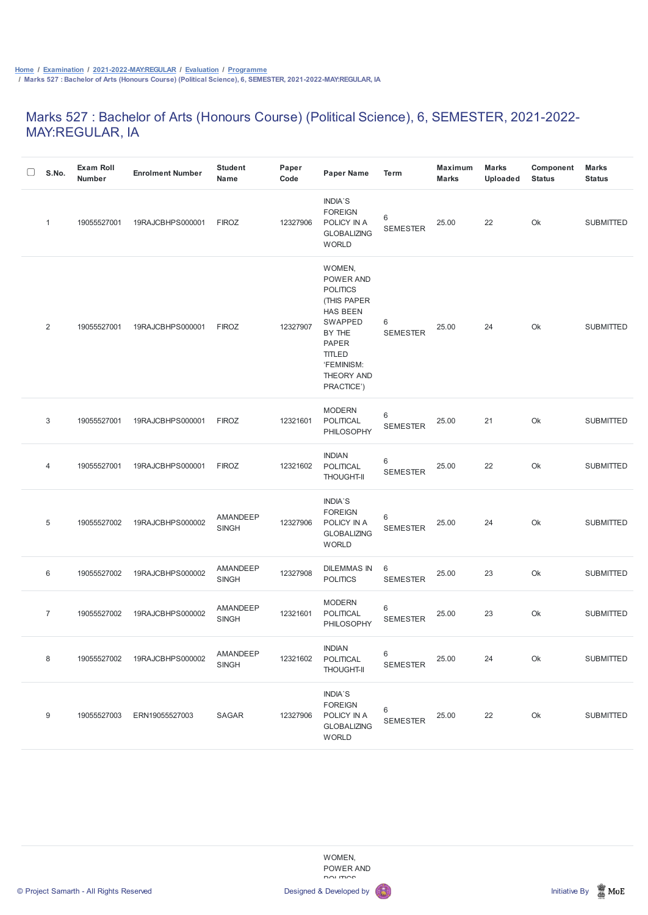## Marks 527 : Bachelor of Arts (Honours Course) (Political Science), 6, SEMESTER, 2021-2022- MAY:REGULAR, IA

| S.No.          | <b>Exam Roll</b><br><b>Number</b> | <b>Enrolment Number</b> | <b>Student</b><br><b>Name</b>   | Paper<br>Code | <b>Paper Name</b>                                                                                                                                                        | <b>Term</b>          | <b>Maximum</b><br><b>Marks</b> | <b>Marks</b><br><b>Uploaded</b> | Component<br><b>Status</b> | <b>Marks</b><br><b>Status</b> |
|----------------|-----------------------------------|-------------------------|---------------------------------|---------------|--------------------------------------------------------------------------------------------------------------------------------------------------------------------------|----------------------|--------------------------------|---------------------------------|----------------------------|-------------------------------|
| $\mathbf{1}$   | 19055527001                       | 19RAJCBHPS000001        | <b>FIROZ</b>                    | 12327906      | INDIA'S<br><b>FOREIGN</b><br>POLICY IN A<br><b>GLOBALIZING</b><br><b>WORLD</b>                                                                                           | 6<br><b>SEMESTER</b> | 25.00                          | 22                              | Ok                         | <b>SUBMITTED</b>              |
| 2              | 19055527001                       | 19RAJCBHPS000001        | <b>FIROZ</b>                    | 12327907      | WOMEN,<br>POWER AND<br><b>POLITICS</b><br>(THIS PAPER<br><b>HAS BEEN</b><br>SWAPPED<br>BY THE<br><b>PAPER</b><br><b>TITLED</b><br>'FEMINISM:<br>THEORY AND<br>PRACTICE') | 6<br><b>SEMESTER</b> | 25.00                          | 24                              | Ok                         | <b>SUBMITTED</b>              |
| 3              | 19055527001                       | 19RAJCBHPS000001        | <b>FIROZ</b>                    | 12321601      | <b>MODERN</b><br><b>POLITICAL</b><br>PHILOSOPHY                                                                                                                          | 6<br><b>SEMESTER</b> | 25.00                          | 21                              | Ok                         | <b>SUBMITTED</b>              |
| 4              | 19055527001                       | 19RAJCBHPS000001        | <b>FIROZ</b>                    | 12321602      | <b>INDIAN</b><br><b>POLITICAL</b><br><b>THOUGHT-II</b>                                                                                                                   | 6<br><b>SEMESTER</b> | 25.00                          | 22                              | Ok                         | <b>SUBMITTED</b>              |
| $\overline{5}$ | 19055527002                       | 19RAJCBHPS000002        | AMANDEEP<br><b>SINGH</b>        | 12327906      | <b>INDIA'S</b><br><b>FOREIGN</b><br>POLICY IN A<br><b>GLOBALIZING</b><br><b>WORLD</b>                                                                                    | 6<br><b>SEMESTER</b> | 25.00                          | 24                              | Ok                         | <b>SUBMITTED</b>              |
| 6              | 19055527002                       | 19RAJCBHPS000002        | AMANDEEP<br><b>SINGH</b>        | 12327908      | <b>DILEMMAS IN</b><br><b>POLITICS</b>                                                                                                                                    | 6<br><b>SEMESTER</b> | 25.00                          | 23                              | Ok                         | <b>SUBMITTED</b>              |
| $\overline{7}$ | 19055527002                       | 19RAJCBHPS000002        | <b>AMANDEEP</b><br><b>SINGH</b> | 12321601      | <b>MODERN</b><br>POLITICAL<br>PHILOSOPHY                                                                                                                                 | 6<br><b>SEMESTER</b> | 25.00                          | 23                              | Ok                         | <b>SUBMITTED</b>              |
| 8              | 19055527002                       | 19RAJCBHPS000002        | AMANDEEP<br>SINGH               | 12321602      | <b>INDIAN</b><br>POLITICAL<br><b>THOUGHT-II</b>                                                                                                                          | 6<br><b>SEMESTER</b> | 25.00                          | 24                              | Ok                         | <b>SUBMITTED</b>              |







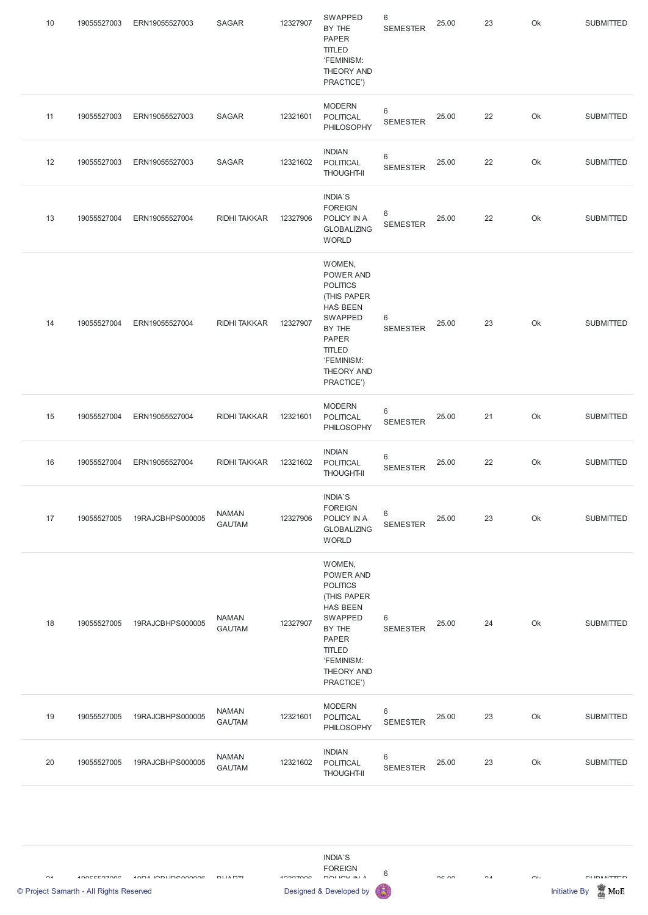| 10 | 19055527003 | ERN19055527003   | <b>SAGAR</b>                  | 12327907 | SWAPPED<br>BY THE<br><b>PAPER</b><br>TITLED<br>'FEMINISM:<br>THEORY AND<br>PRACTICE')                                                                                           | 6<br><b>SEMESTER</b>               | 25.00 | 23 | Ok | <b>SUBMITTED</b> |
|----|-------------|------------------|-------------------------------|----------|---------------------------------------------------------------------------------------------------------------------------------------------------------------------------------|------------------------------------|-------|----|----|------------------|
| 11 | 19055527003 | ERN19055527003   | <b>SAGAR</b>                  | 12321601 | <b>MODERN</b><br><b>POLITICAL</b><br>PHILOSOPHY                                                                                                                                 | 6<br><b>SEMESTER</b>               | 25.00 | 22 | Ok | <b>SUBMITTED</b> |
| 12 | 19055527003 | ERN19055527003   | SAGAR                         | 12321602 | <b>INDIAN</b><br>POLITICAL<br><b>THOUGHT-II</b>                                                                                                                                 | $\,6$<br><b>SEMESTER</b>           | 25.00 | 22 | Ok | <b>SUBMITTED</b> |
| 13 | 19055527004 | ERN19055527004   | <b>RIDHI TAKKAR</b>           | 12327906 | INDIA'S<br><b>FOREIGN</b><br>POLICY IN A<br><b>GLOBALIZING</b><br><b>WORLD</b>                                                                                                  | $\,6$<br><b>SEMESTER</b>           | 25.00 | 22 | Ok | <b>SUBMITTED</b> |
| 14 | 19055527004 | ERN19055527004   | <b>RIDHI TAKKAR</b>           | 12327907 | WOMEN,<br>POWER AND<br><b>POLITICS</b><br>(THIS PAPER<br><b>HAS BEEN</b><br>SWAPPED<br>BY THE<br><b>PAPER</b><br><b>TITLED</b><br>'FEMINISM:<br><b>THEORY AND</b><br>PRACTICE') | 6<br><b>SEMESTER</b>               | 25.00 | 23 | Ok | <b>SUBMITTED</b> |
| 15 | 19055527004 | ERN19055527004   | <b>RIDHI TAKKAR</b>           | 12321601 | <b>MODERN</b><br>POLITICAL<br>PHILOSOPHY                                                                                                                                        | $\,6$<br><b>SEMESTER</b>           | 25.00 | 21 | Ok | <b>SUBMITTED</b> |
| 16 | 19055527004 | ERN19055527004   | <b>RIDHI TAKKAR</b>           | 12321602 | <b>INDIAN</b><br><b>POLITICAL</b><br><b>THOUGHT-II</b>                                                                                                                          | $\,6\,$<br><b>SEMESTER</b>         | 25.00 | 22 | Ok | <b>SUBMITTED</b> |
| 17 | 19055527005 | 19RAJCBHPS000005 | <b>NAMAN</b><br><b>GAUTAM</b> | 12327906 | INDIA'S<br><b>FOREIGN</b><br>POLICY IN A<br><b>GLOBALIZING</b><br><b>WORLD</b>                                                                                                  | $\,6$<br><b>SEMESTER</b>           | 25.00 | 23 | Ok | <b>SUBMITTED</b> |
| 18 | 19055527005 | 19RAJCBHPS000005 | <b>NAMAN</b><br><b>GAUTAM</b> | 12327907 | WOMEN,<br>POWER AND<br><b>POLITICS</b><br>(THIS PAPER<br><b>HAS BEEN</b><br>SWAPPED<br>BY THE<br>PAPER<br><b>TITLED</b><br>'FEMINISM:<br><b>THEORY AND</b><br>PRACTICE')        | $6\phantom{1}6$<br><b>SEMESTER</b> | 25.00 | 24 | Ok | <b>SUBMITTED</b> |

| 19 | 19055527005 | 19RAJCBHPS000005 | <b>NAMAN</b><br><b>GAUTAM</b> | 12321601 | <b>MODERN</b><br><b>POLITICAL</b><br>PHILOSOPHY        | 6<br><b>SEMESTER</b> | 25.00 | 23 | Ok | <b>SUBMITTED</b> |
|----|-------------|------------------|-------------------------------|----------|--------------------------------------------------------|----------------------|-------|----|----|------------------|
| 20 | 19055527005 | 19RAJCBHPS000005 | <b>NAMAN</b><br><b>GAUTAM</b> | 12321602 | <b>INDIAN</b><br><b>POLITICAL</b><br><b>THOUGHT-II</b> | 6<br><b>SEMESTER</b> | 25.00 | 23 | Ok | <b>SUBMITTED</b> |

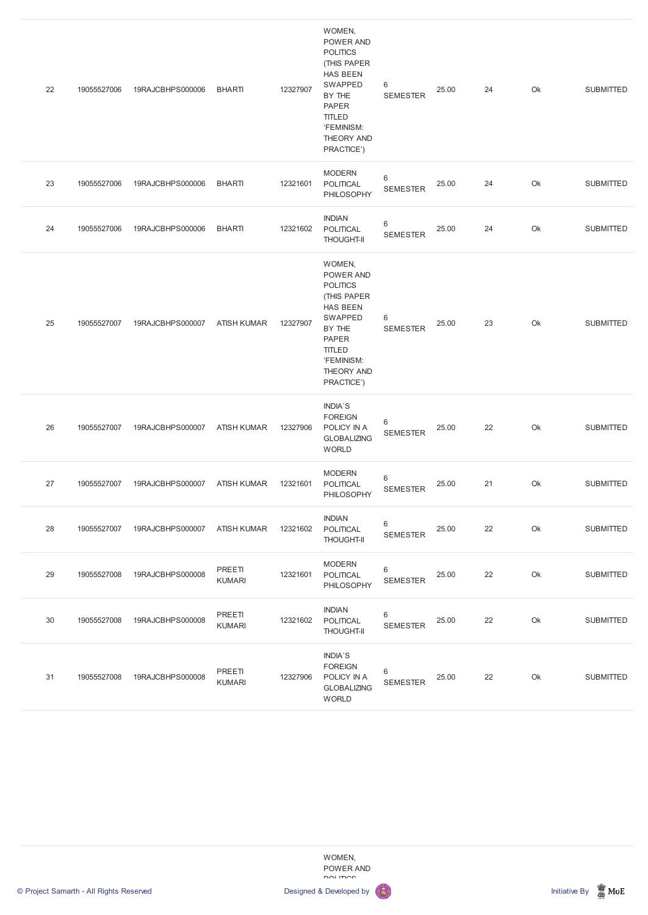| 22 | 19055527006 | 19RAJCBHPS000006 | <b>BHARTI</b>           | 12327907 | WOMEN,<br>POWER AND<br><b>POLITICS</b><br>(THIS PAPER<br><b>HAS BEEN</b><br>SWAPPED<br>BY THE<br><b>PAPER</b><br><b>TITLED</b><br>'FEMINISM:<br><b>THEORY AND</b><br>PRACTICE') | 6<br><b>SEMESTER</b>       | 25.00 | 24 | Ok | <b>SUBMITTED</b> |
|----|-------------|------------------|-------------------------|----------|---------------------------------------------------------------------------------------------------------------------------------------------------------------------------------|----------------------------|-------|----|----|------------------|
| 23 | 19055527006 | 19RAJCBHPS000006 | <b>BHARTI</b>           | 12321601 | <b>MODERN</b><br>POLITICAL<br>PHILOSOPHY                                                                                                                                        | 6<br><b>SEMESTER</b>       | 25.00 | 24 | Ok | <b>SUBMITTED</b> |
| 24 | 19055527006 | 19RAJCBHPS000006 | <b>BHARTI</b>           | 12321602 | <b>INDIAN</b><br>POLITICAL<br><b>THOUGHT-II</b>                                                                                                                                 | 6<br><b>SEMESTER</b>       | 25.00 | 24 | Ok | <b>SUBMITTED</b> |
| 25 | 19055527007 | 19RAJCBHPS000007 | <b>ATISH KUMAR</b>      | 12327907 | WOMEN,<br>POWER AND<br><b>POLITICS</b><br>(THIS PAPER<br><b>HAS BEEN</b><br>SWAPPED<br>BY THE<br><b>PAPER</b><br><b>TITLED</b><br>'FEMINISM:<br>THEORY AND<br>PRACTICE')        | 6<br><b>SEMESTER</b>       | 25.00 | 23 | Ok | <b>SUBMITTED</b> |
| 26 | 19055527007 | 19RAJCBHPS000007 | <b>ATISH KUMAR</b>      | 12327906 | INDIA'S<br><b>FOREIGN</b><br>POLICY IN A<br><b>GLOBALIZING</b><br><b>WORLD</b>                                                                                                  | 6<br><b>SEMESTER</b>       | 25.00 | 22 | Ok | <b>SUBMITTED</b> |
| 27 | 19055527007 | 19RAJCBHPS000007 | <b>ATISH KUMAR</b>      | 12321601 | <b>MODERN</b><br><b>POLITICAL</b><br>PHILOSOPHY                                                                                                                                 | $\,6\,$<br><b>SEMESTER</b> | 25.00 | 21 | Ok | <b>SUBMITTED</b> |
| 28 | 19055527007 | 19RAJCBHPS000007 | <b>ATISH KUMAR</b>      | 12321602 | <b>INDIAN</b><br><b>POLITICAL</b><br><b>THOUGHT-II</b>                                                                                                                          | $\,6$<br><b>SEMESTER</b>   | 25.00 | 22 | Ok | <b>SUBMITTED</b> |
| 29 | 19055527008 | 19RAJCBHPS000008 | PREETI<br><b>KUMARI</b> | 12321601 | <b>MODERN</b><br>POLITICAL<br>PHILOSOPHY                                                                                                                                        | $\,6$<br><b>SEMESTER</b>   | 25.00 | 22 | Ok | <b>SUBMITTED</b> |
| 30 | 19055527008 | 19RAJCBHPS000008 | PREETI<br><b>KUMARI</b> | 12321602 | <b>INDIAN</b><br><b>POLITICAL</b><br><b>THOUGHT-II</b>                                                                                                                          | $\,6$<br><b>SEMESTER</b>   | 25.00 | 22 | Ok | <b>SUBMITTED</b> |
| 31 | 19055527008 | 19RAJCBHPS000008 | PREETI<br><b>KUMARI</b> | 12327906 | INDIA'S<br><b>FOREIGN</b><br>POLICY IN A<br><b>GLOBALIZING</b>                                                                                                                  | 6<br><b>SEMESTER</b>       | 25.00 | 22 | Ok | <b>SUBMITTED</b> |

WOMEN, POWER AND POLITICS



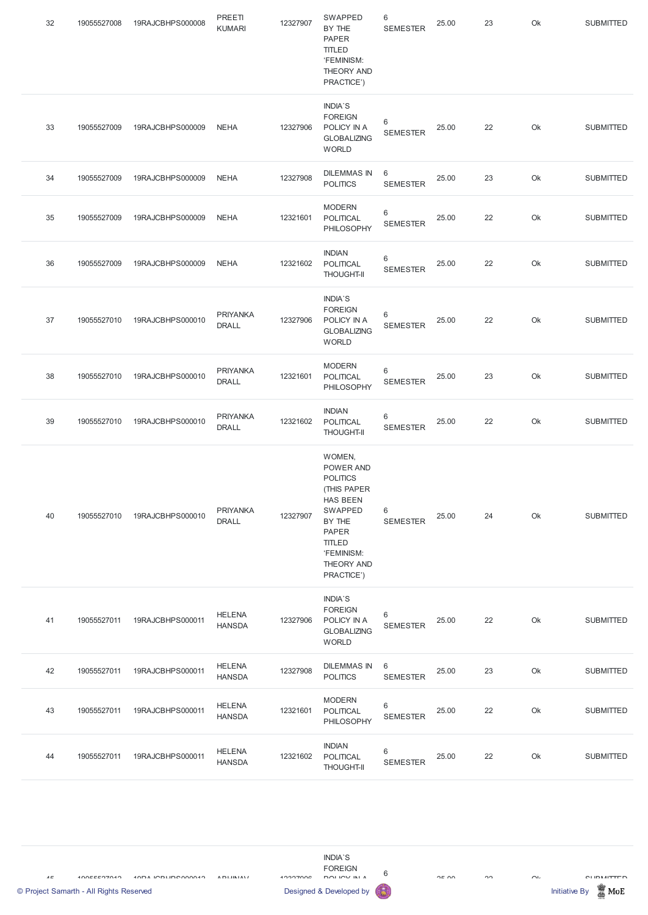| 32 | 19055527008 | 19RAJCBHPS000008 | PREETI<br><b>KUMARI</b>         | 12327907 | SWAPPED<br>BY THE<br><b>PAPER</b><br><b>TITLED</b><br>'FEMINISM:<br><b>THEORY AND</b><br>PRACTICE')                                                                      | $\,6$<br><b>SEMESTER</b>           | 25.00 | 23 | Ok | <b>SUBMITTED</b> |
|----|-------------|------------------|---------------------------------|----------|--------------------------------------------------------------------------------------------------------------------------------------------------------------------------|------------------------------------|-------|----|----|------------------|
| 33 | 19055527009 | 19RAJCBHPS000009 | <b>NEHA</b>                     | 12327906 | <b>INDIA'S</b><br><b>FOREIGN</b><br>POLICY IN A<br><b>GLOBALIZING</b><br><b>WORLD</b>                                                                                    | 6<br><b>SEMESTER</b>               | 25.00 | 22 | Ok | <b>SUBMITTED</b> |
| 34 | 19055527009 | 19RAJCBHPS000009 | <b>NEHA</b>                     | 12327908 | <b>DILEMMAS IN</b><br><b>POLITICS</b>                                                                                                                                    | $6\phantom{1}6$<br><b>SEMESTER</b> | 25.00 | 23 | Ok | <b>SUBMITTED</b> |
| 35 | 19055527009 | 19RAJCBHPS000009 | <b>NEHA</b>                     | 12321601 | <b>MODERN</b><br>POLITICAL<br>PHILOSOPHY                                                                                                                                 | $\,6$<br><b>SEMESTER</b>           | 25.00 | 22 | Ok | <b>SUBMITTED</b> |
| 36 | 19055527009 | 19RAJCBHPS000009 | <b>NEHA</b>                     | 12321602 | <b>INDIAN</b><br>POLITICAL<br><b>THOUGHT-II</b>                                                                                                                          | $6\,$<br><b>SEMESTER</b>           | 25.00 | 22 | Ok | <b>SUBMITTED</b> |
| 37 | 19055527010 | 19RAJCBHPS000010 | <b>PRIYANKA</b><br><b>DRALL</b> | 12327906 | <b>INDIA'S</b><br><b>FOREIGN</b><br>POLICY IN A<br><b>GLOBALIZING</b><br><b>WORLD</b>                                                                                    | 6<br><b>SEMESTER</b>               | 25.00 | 22 | Ok | <b>SUBMITTED</b> |
| 38 | 19055527010 | 19RAJCBHPS000010 | <b>PRIYANKA</b><br><b>DRALL</b> | 12321601 | <b>MODERN</b><br><b>POLITICAL</b><br>PHILOSOPHY                                                                                                                          | $6\,$<br><b>SEMESTER</b>           | 25.00 | 23 | Ok | <b>SUBMITTED</b> |
| 39 | 19055527010 | 19RAJCBHPS000010 | <b>PRIYANKA</b><br><b>DRALL</b> | 12321602 | <b>INDIAN</b><br>POLITICAL<br><b>THOUGHT-II</b>                                                                                                                          | $\,6$<br><b>SEMESTER</b>           | 25.00 | 22 | Ok | <b>SUBMITTED</b> |
| 40 | 19055527010 | 19RAJCBHPS000010 | <b>PRIYANKA</b><br><b>DRALL</b> | 12327907 | WOMEN,<br>POWER AND<br><b>POLITICS</b><br>(THIS PAPER<br><b>HAS BEEN</b><br>SWAPPED<br>BY THE<br>PAPER<br><b>TITLED</b><br>'FEMINISM:<br><b>THEORY AND</b><br>PRACTICE') | 6<br><b>SEMESTER</b>               | 25.00 | 24 | Ok | <b>SUBMITTED</b> |
| 41 | 19055527011 | 19RAJCBHPS000011 | <b>HELENA</b><br><b>HANSDA</b>  | 12327906 | <b>INDIA'S</b><br><b>FOREIGN</b><br>POLICY IN A<br><b>GLOBALIZING</b><br><b>WORLD</b>                                                                                    | $6\phantom{1}6$<br><b>SEMESTER</b> | 25.00 | 22 | Ok | <b>SUBMITTED</b> |
| 42 | 19055527011 | 19RAJCBHPS000011 | <b>HELENA</b><br><b>HANSDA</b>  | 12327908 | <b>DILEMMAS IN</b><br><b>POLITICS</b>                                                                                                                                    | $6\phantom{1}6$<br><b>SEMESTER</b> | 25.00 | 23 | Ok | <b>SUBMITTED</b> |

| 43 | 19055527011 | 19RAJCBHPS000011 | <b>HELENA</b><br><b>HANSDA</b> | 12321601 | <b>MODERN</b><br><b>POLITICAL</b><br>PHILOSOPHY        | <b>SEMESTER</b> | 25.00 | 22 | Ok | <b>SUBMITTED</b> |
|----|-------------|------------------|--------------------------------|----------|--------------------------------------------------------|-----------------|-------|----|----|------------------|
| 44 | 19055527011 | 19RAJCBHPS000011 | <b>HELENA</b><br><b>HANSDA</b> | 12321602 | <b>INDIAN</b><br><b>POLITICAL</b><br><b>THOUGHT-II</b> | <b>SEMESTER</b> | 25.00 | 22 | Ok | <b>SUBMITTED</b> |

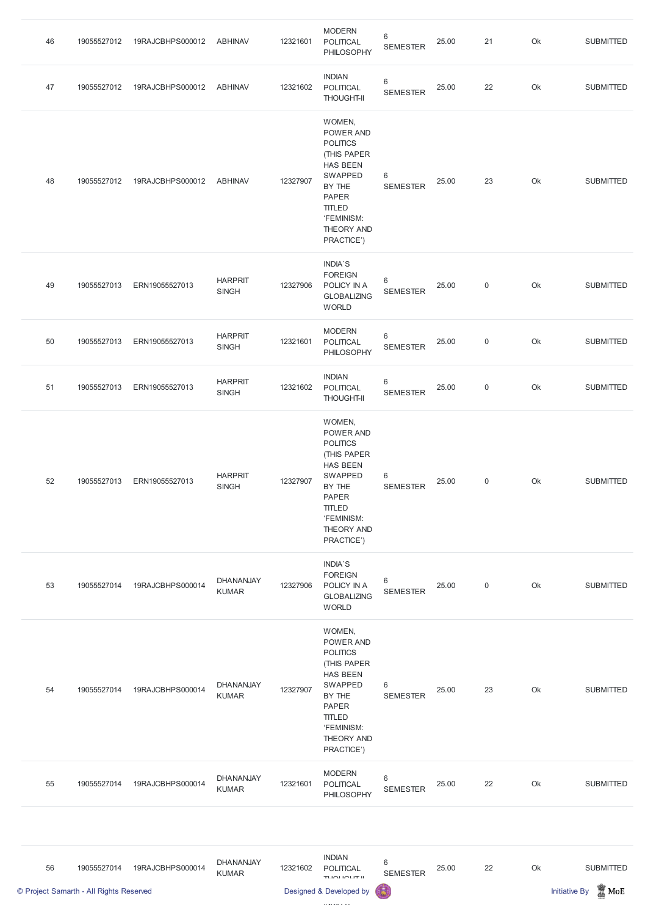| 46 | 19055527012                             | 19RAJCBHPS000012 | <b>ABHINAV</b>                   | 12321601 | <b>MODERN</b><br><b>POLITICAL</b><br>PHILOSOPHY                                                                                                                          | 6<br><b>SEMESTER</b>       | 25.00 | 21             | Ok | <b>SUBMITTED</b>                        |
|----|-----------------------------------------|------------------|----------------------------------|----------|--------------------------------------------------------------------------------------------------------------------------------------------------------------------------|----------------------------|-------|----------------|----|-----------------------------------------|
| 47 | 19055527012                             | 19RAJCBHPS000012 | <b>ABHINAV</b>                   | 12321602 | <b>INDIAN</b><br>POLITICAL<br><b>THOUGHT-II</b>                                                                                                                          | $\,6$<br><b>SEMESTER</b>   | 25.00 | 22             | Ok | <b>SUBMITTED</b>                        |
| 48 | 19055527012                             | 19RAJCBHPS000012 | <b>ABHINAV</b>                   | 12327907 | WOMEN,<br>POWER AND<br><b>POLITICS</b><br>(THIS PAPER<br><b>HAS BEEN</b><br>SWAPPED<br>BY THE<br><b>PAPER</b><br><b>TITLED</b><br>'FEMINISM:<br>THEORY AND<br>PRACTICE') | 6<br><b>SEMESTER</b>       | 25.00 | 23             | Ok | <b>SUBMITTED</b>                        |
| 49 | 19055527013                             | ERN19055527013   | <b>HARPRIT</b><br><b>SINGH</b>   | 12327906 | <b>INDIA'S</b><br><b>FOREIGN</b><br>POLICY IN A<br><b>GLOBALIZING</b><br><b>WORLD</b>                                                                                    | 6<br><b>SEMESTER</b>       | 25.00 | $\mathbf 0$    | Ok | <b>SUBMITTED</b>                        |
| 50 | 19055527013                             | ERN19055527013   | <b>HARPRIT</b><br><b>SINGH</b>   | 12321601 | <b>MODERN</b><br><b>POLITICAL</b><br>PHILOSOPHY                                                                                                                          | 6<br><b>SEMESTER</b>       | 25.00 | $\overline{0}$ | Ok | <b>SUBMITTED</b>                        |
| 51 | 19055527013                             | ERN19055527013   | <b>HARPRIT</b><br><b>SINGH</b>   | 12321602 | <b>INDIAN</b><br>POLITICAL<br><b>THOUGHT-II</b>                                                                                                                          | $\,6$<br><b>SEMESTER</b>   | 25.00 | $\overline{0}$ | Ok | <b>SUBMITTED</b>                        |
| 52 | 19055527013                             | ERN19055527013   | <b>HARPRIT</b><br><b>SINGH</b>   | 12327907 | WOMEN,<br>POWER AND<br><b>POLITICS</b><br>(THIS PAPER<br><b>HAS BEEN</b><br>SWAPPED<br>BY THE<br><b>PAPER</b><br><b>TITLED</b><br>'FEMINISM:<br>THEORY AND<br>PRACTICE') | 6<br><b>SEMESTER</b>       | 25.00 | $\mathbf 0$    | Ok | <b>SUBMITTED</b>                        |
| 53 | 19055527014                             | 19RAJCBHPS000014 | DHANANJAY<br><b>KUMAR</b>        | 12327906 | <b>INDIA'S</b><br><b>FOREIGN</b><br>POLICY IN A<br><b>GLOBALIZING</b><br><b>WORLD</b>                                                                                    | 6<br><b>SEMESTER</b>       | 25.00 | $\mathbf 0$    | Ok | <b>SUBMITTED</b>                        |
| 54 | 19055527014                             | 19RAJCBHPS000014 | <b>DHANANJAY</b><br><b>KUMAR</b> | 12327907 | WOMEN,<br>POWER AND<br><b>POLITICS</b><br>(THIS PAPER<br><b>HAS BEEN</b><br>SWAPPED<br>BY THE<br><b>PAPER</b><br><b>TITLED</b><br>'FEMINISM:<br>THEORY AND<br>PRACTICE') | 6<br><b>SEMESTER</b>       | 25.00 | 23             | Ok | <b>SUBMITTED</b>                        |
| 55 | 19055527014                             | 19RAJCBHPS000014 | DHANANJAY<br><b>KUMAR</b>        | 12321601 | <b>MODERN</b><br><b>POLITICAL</b><br>PHILOSOPHY                                                                                                                          | $\,6\,$<br><b>SEMESTER</b> | 25.00 | 22             | Ok | <b>SUBMITTED</b>                        |
|    |                                         |                  |                                  |          |                                                                                                                                                                          |                            |       |                |    |                                         |
| 56 | 19055527014                             | 19RAJCBHPS000014 | DHANANJAY<br><b>KUMAR</b>        | 12321602 | <b>INDIAN</b><br><b>POLITICAL</b><br>TUOLIOUT II                                                                                                                         | $\,6\,$<br><b>SEMESTER</b> | 25.00 | 22             | Ok | <b>SUBMITTED</b>                        |
|    | © Project Samarth - All Rights Reserved |                  |                                  |          | Designed & Developed by                                                                                                                                                  | Ы                          |       |                |    | $\mathbb Z$ MoE<br><b>Initiative By</b> |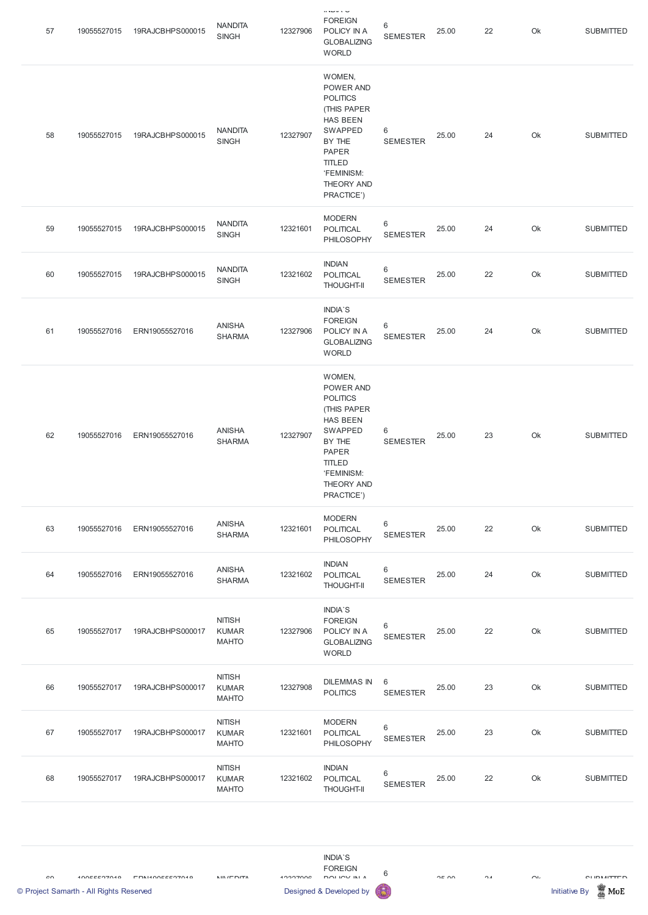| 57 | 19055527015 | 19RAJCBHPS000015 | <b>NANDITA</b><br><b>SINGH</b>                | 12327906 | $0.3 - 0.3 - 0.$<br><b>FOREIGN</b><br>POLICY IN A<br><b>GLOBALIZING</b><br><b>WORLD</b>                                                                                         | 6<br><b>SEMESTER</b>       | 25.00 | 22 | Ok | <b>SUBMITTED</b> |
|----|-------------|------------------|-----------------------------------------------|----------|---------------------------------------------------------------------------------------------------------------------------------------------------------------------------------|----------------------------|-------|----|----|------------------|
| 58 | 19055527015 | 19RAJCBHPS000015 | <b>NANDITA</b><br><b>SINGH</b>                | 12327907 | WOMEN,<br>POWER AND<br><b>POLITICS</b><br>(THIS PAPER<br><b>HAS BEEN</b><br>SWAPPED<br>BY THE<br><b>PAPER</b><br><b>TITLED</b><br>'FEMINISM:<br><b>THEORY AND</b><br>PRACTICE') | $\,6\,$<br><b>SEMESTER</b> | 25.00 | 24 | Ok | <b>SUBMITTED</b> |
| 59 | 19055527015 | 19RAJCBHPS000015 | <b>NANDITA</b><br><b>SINGH</b>                | 12321601 | <b>MODERN</b><br><b>POLITICAL</b><br>PHILOSOPHY                                                                                                                                 | $\,6$<br><b>SEMESTER</b>   | 25.00 | 24 | Ok | <b>SUBMITTED</b> |
| 60 | 19055527015 | 19RAJCBHPS000015 | <b>NANDITA</b><br><b>SINGH</b>                | 12321602 | <b>INDIAN</b><br><b>POLITICAL</b><br><b>THOUGHT-II</b>                                                                                                                          | $\,6$<br><b>SEMESTER</b>   | 25.00 | 22 | Ok | <b>SUBMITTED</b> |
| 61 | 19055527016 | ERN19055527016   | <b>ANISHA</b><br><b>SHARMA</b>                | 12327906 | <b>INDIA'S</b><br><b>FOREIGN</b><br>POLICY IN A<br><b>GLOBALIZING</b><br><b>WORLD</b>                                                                                           | 6<br><b>SEMESTER</b>       | 25.00 | 24 | Ok | <b>SUBMITTED</b> |
| 62 | 19055527016 | ERN19055527016   | <b>ANISHA</b><br><b>SHARMA</b>                | 12327907 | WOMEN,<br>POWER AND<br><b>POLITICS</b><br>(THIS PAPER<br><b>HAS BEEN</b><br>SWAPPED<br>BY THE<br><b>PAPER</b><br><b>TITLED</b><br>'FEMINISM:<br>THEORY AND<br>PRACTICE')        | $\,6\,$<br><b>SEMESTER</b> | 25.00 | 23 | Ok | <b>SUBMITTED</b> |
| 63 | 19055527016 | ERN19055527016   | <b>ANISHA</b><br><b>SHARMA</b>                | 12321601 | <b>MODERN</b><br><b>POLITICAL</b><br>PHILOSOPHY                                                                                                                                 | $\,6$<br><b>SEMESTER</b>   | 25.00 | 22 | Ok | <b>SUBMITTED</b> |
| 64 | 19055527016 | ERN19055527016   | <b>ANISHA</b><br><b>SHARMA</b>                | 12321602 | <b>INDIAN</b><br>POLITICAL<br><b>THOUGHT-II</b>                                                                                                                                 | $\,6$<br><b>SEMESTER</b>   | 25.00 | 24 | Ok | <b>SUBMITTED</b> |
| 65 | 19055527017 | 19RAJCBHPS000017 | <b>NITISH</b><br><b>KUMAR</b><br><b>MAHTO</b> | 12327906 | <b>INDIA'S</b><br><b>FOREIGN</b><br>POLICY IN A<br><b>GLOBALIZING</b><br><b>WORLD</b>                                                                                           | $\,6$<br><b>SEMESTER</b>   | 25.00 | 22 | Ok | <b>SUBMITTED</b> |
| 66 | 19055527017 | 19RAJCBHPS000017 | <b>NITISH</b><br><b>KUMAR</b><br><b>MAHTO</b> | 12327908 | <b>DILEMMAS IN</b><br><b>POLITICS</b>                                                                                                                                           | 6<br><b>SEMESTER</b>       | 25.00 | 23 | Ok | <b>SUBMITTED</b> |
| 67 | 19055527017 | 19RAJCBHPS000017 | <b>NITISH</b><br><b>KUMAR</b><br><b>MAHTO</b> | 12321601 | <b>MODERN</b><br>POLITICAL<br>PHILOSOPHY                                                                                                                                        | $\,6$<br><b>SEMESTER</b>   | 25.00 | 23 | Ok | <b>SUBMITTED</b> |
| 68 | 19055527017 | 19RAJCBHPS000017 | <b>NITISH</b><br><b>KUMAR</b><br><b>MAHTO</b> | 12321602 | <b>INDIAN</b><br>POLITICAL<br><b>THOUGHT-II</b>                                                                                                                                 | 6<br><b>SEMESTER</b>       | 25.00 | 22 | Ok | <b>SUBMITTED</b> |

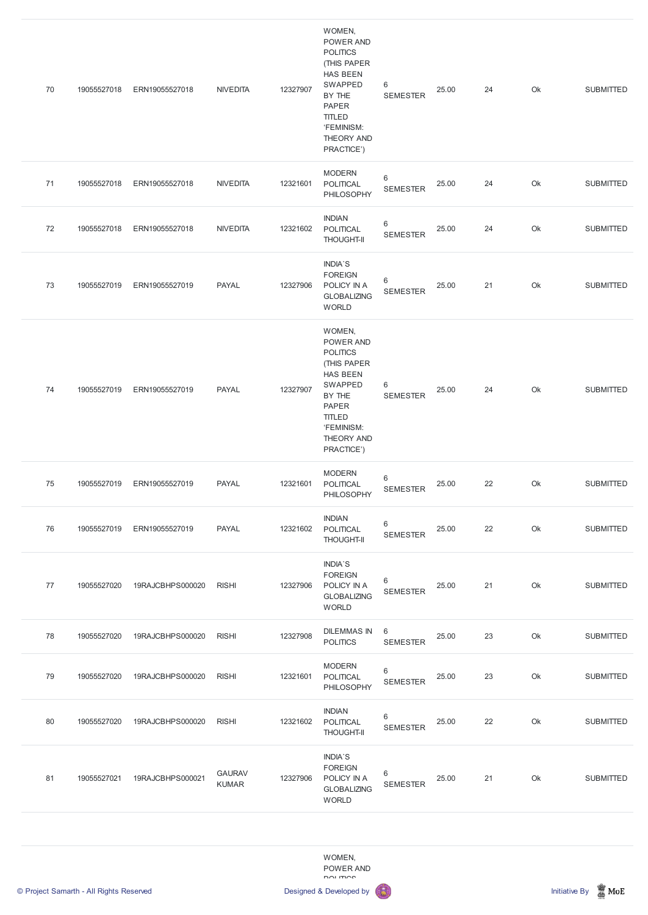| 70 | 19055527018 | ERN19055527018   | <b>NIVEDITA</b> | 12327907 | WOMEN,<br>POWER AND<br><b>POLITICS</b><br>(THIS PAPER<br><b>HAS BEEN</b><br>SWAPPED<br>BY THE<br><b>PAPER</b><br><b>TITLED</b><br>'FEMINISM:<br>THEORY AND<br>PRACTICE') | $\,6\,$<br><b>SEMESTER</b> | 25.00 | 24 | Ok | <b>SUBMITTED</b> |
|----|-------------|------------------|-----------------|----------|--------------------------------------------------------------------------------------------------------------------------------------------------------------------------|----------------------------|-------|----|----|------------------|
| 71 | 19055527018 | ERN19055527018   | <b>NIVEDITA</b> | 12321601 | <b>MODERN</b><br><b>POLITICAL</b><br>PHILOSOPHY                                                                                                                          | $\,6$<br><b>SEMESTER</b>   | 25.00 | 24 | Ok | <b>SUBMITTED</b> |
| 72 | 19055527018 | ERN19055527018   | <b>NIVEDITA</b> | 12321602 | <b>INDIAN</b><br>POLITICAL<br><b>THOUGHT-II</b>                                                                                                                          | 6<br><b>SEMESTER</b>       | 25.00 | 24 | Ok | <b>SUBMITTED</b> |
| 73 | 19055527019 | ERN19055527019   | <b>PAYAL</b>    | 12327906 | <b>INDIA'S</b><br><b>FOREIGN</b><br>POLICY IN A<br><b>GLOBALIZING</b><br><b>WORLD</b>                                                                                    | $\,6$<br><b>SEMESTER</b>   | 25.00 | 21 | Ok | <b>SUBMITTED</b> |
| 74 | 19055527019 | ERN19055527019   | <b>PAYAL</b>    | 12327907 | WOMEN,<br>POWER AND<br><b>POLITICS</b><br>(THIS PAPER<br><b>HAS BEEN</b><br>SWAPPED<br>BY THE<br><b>PAPER</b><br><b>TITLED</b><br>'FEMINISM:<br>THEORY AND<br>PRACTICE') | $\,6\,$<br><b>SEMESTER</b> | 25.00 | 24 | Ok | <b>SUBMITTED</b> |
| 75 | 19055527019 | ERN19055527019   | <b>PAYAL</b>    | 12321601 | <b>MODERN</b><br><b>POLITICAL</b><br>PHILOSOPHY                                                                                                                          | $\,6$<br><b>SEMESTER</b>   | 25.00 | 22 | Ok | <b>SUBMITTED</b> |
| 76 | 19055527019 | ERN19055527019   | <b>PAYAL</b>    | 12321602 | <b>INDIAN</b><br>POLITICAL<br><b>THOUGHT-II</b>                                                                                                                          | 6<br><b>SEMESTER</b>       | 25.00 | 22 | Ok | <b>SUBMITTED</b> |
| 77 | 19055527020 | 19RAJCBHPS000020 | <b>RISHI</b>    | 12327906 | INDIA'S<br><b>FOREIGN</b><br>POLICY IN A<br><b>GLOBALIZING</b><br><b>WORLD</b>                                                                                           | $\,6$<br><b>SEMESTER</b>   | 25.00 | 21 | Ok | <b>SUBMITTED</b> |
| 78 | 19055527020 | 19RAJCBHPS000020 | <b>RISHI</b>    | 12327908 | <b>DILEMMAS IN</b><br><b>POLITICS</b>                                                                                                                                    | $6\,$<br><b>SEMESTER</b>   | 25.00 | 23 | Ok | <b>SUBMITTED</b> |
| 79 | 19055527020 | 19RAJCBHPS000020 | <b>RISHI</b>    | 12321601 | <b>MODERN</b><br><b>POLITICAL</b><br>PHILOSOPHY                                                                                                                          | 6<br><b>SEMESTER</b>       | 25.00 | 23 | Ok | <b>SUBMITTED</b> |









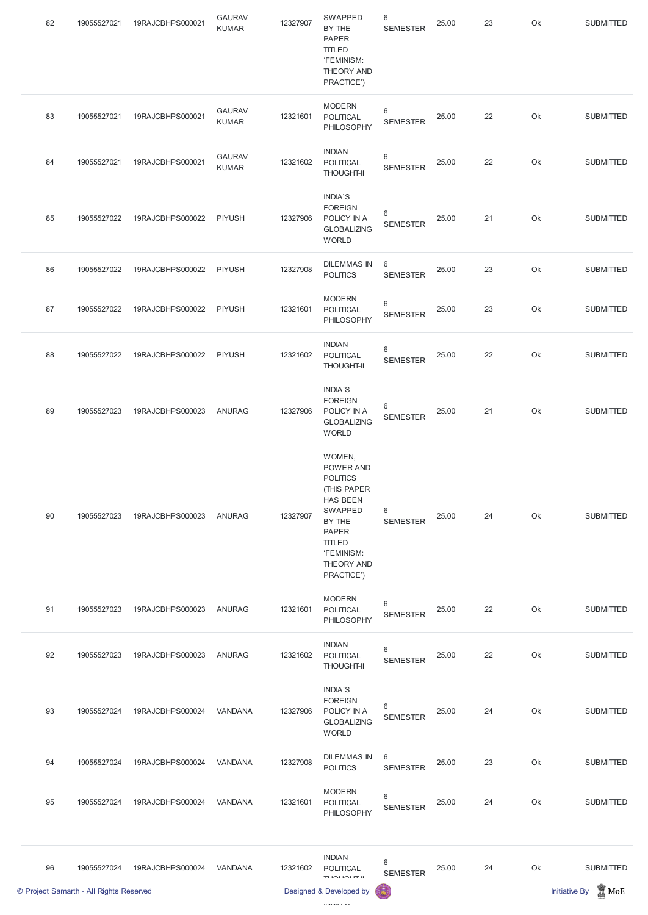| 82 | 19055527021                             | 19RAJCBHPS000021 | <b>GAURAV</b><br><b>KUMAR</b> | 12327907 | SWAPPED<br>BY THE<br><b>PAPER</b><br><b>TITLED</b><br>'FEMINISM:<br>THEORY AND<br>PRACTICE')                                                                                    | $\,6$<br><b>SEMESTER</b> | 25.00 | 23 | Ok | <b>SUBMITTED</b>                        |
|----|-----------------------------------------|------------------|-------------------------------|----------|---------------------------------------------------------------------------------------------------------------------------------------------------------------------------------|--------------------------|-------|----|----|-----------------------------------------|
| 83 | 19055527021                             | 19RAJCBHPS000021 | <b>GAURAV</b><br><b>KUMAR</b> | 12321601 | <b>MODERN</b><br><b>POLITICAL</b><br>PHILOSOPHY                                                                                                                                 | 6<br><b>SEMESTER</b>     | 25.00 | 22 | Ok | <b>SUBMITTED</b>                        |
| 84 | 19055527021                             | 19RAJCBHPS000021 | <b>GAURAV</b><br><b>KUMAR</b> | 12321602 | <b>INDIAN</b><br>POLITICAL<br><b>THOUGHT-II</b>                                                                                                                                 | $\,6$<br><b>SEMESTER</b> | 25.00 | 22 | Ok | <b>SUBMITTED</b>                        |
| 85 | 19055527022                             | 19RAJCBHPS000022 | <b>PIYUSH</b>                 | 12327906 | INDIA'S<br><b>FOREIGN</b><br>POLICY IN A<br><b>GLOBALIZING</b><br><b>WORLD</b>                                                                                                  | 6<br><b>SEMESTER</b>     | 25.00 | 21 | Ok | <b>SUBMITTED</b>                        |
| 86 | 19055527022                             | 19RAJCBHPS000022 | <b>PIYUSH</b>                 | 12327908 | <b>DILEMMAS IN</b><br><b>POLITICS</b>                                                                                                                                           | 6<br><b>SEMESTER</b>     | 25.00 | 23 | Ok | <b>SUBMITTED</b>                        |
| 87 | 19055527022                             | 19RAJCBHPS000022 | <b>PIYUSH</b>                 | 12321601 | <b>MODERN</b><br><b>POLITICAL</b><br>PHILOSOPHY                                                                                                                                 | 6<br><b>SEMESTER</b>     | 25.00 | 23 | Ok | <b>SUBMITTED</b>                        |
| 88 | 19055527022                             | 19RAJCBHPS000022 | <b>PIYUSH</b>                 | 12321602 | <b>INDIAN</b><br>POLITICAL<br><b>THOUGHT-II</b>                                                                                                                                 | 6<br><b>SEMESTER</b>     | 25.00 | 22 | Ok | <b>SUBMITTED</b>                        |
| 89 | 19055527023                             | 19RAJCBHPS000023 | <b>ANURAG</b>                 | 12327906 | INDIA'S<br><b>FOREIGN</b><br>POLICY IN A<br><b>GLOBALIZING</b><br><b>WORLD</b>                                                                                                  | 6<br><b>SEMESTER</b>     | 25.00 | 21 | Ok | <b>SUBMITTED</b>                        |
| 90 | 19055527023                             | 19RAJCBHPS000023 | <b>ANURAG</b>                 | 12327907 | WOMEN,<br>POWER AND<br><b>POLITICS</b><br>(THIS PAPER<br><b>HAS BEEN</b><br><b>SWAPPED</b><br>BY THE<br><b>PAPER</b><br><b>TITLED</b><br>'FEMINISM:<br>THEORY AND<br>PRACTICE') | 6<br><b>SEMESTER</b>     | 25.00 | 24 | Ok | <b>SUBMITTED</b>                        |
| 91 | 19055527023                             | 19RAJCBHPS000023 | <b>ANURAG</b>                 | 12321601 | <b>MODERN</b><br><b>POLITICAL</b><br>PHILOSOPHY                                                                                                                                 | $\,6$<br><b>SEMESTER</b> | 25.00 | 22 | Ok | <b>SUBMITTED</b>                        |
| 92 | 19055527023                             | 19RAJCBHPS000023 | <b>ANURAG</b>                 | 12321602 | <b>INDIAN</b><br>POLITICAL<br><b>THOUGHT-II</b>                                                                                                                                 | 6<br><b>SEMESTER</b>     | 25.00 | 22 | Ok | <b>SUBMITTED</b>                        |
| 93 | 19055527024                             | 19RAJCBHPS000024 | VANDANA                       | 12327906 | INDIA'S<br><b>FOREIGN</b><br>POLICY IN A<br><b>GLOBALIZING</b><br><b>WORLD</b>                                                                                                  | 6<br><b>SEMESTER</b>     | 25.00 | 24 | Ok | <b>SUBMITTED</b>                        |
| 94 | 19055527024                             | 19RAJCBHPS000024 | VANDANA                       | 12327908 | <b>DILEMMAS IN</b><br><b>POLITICS</b>                                                                                                                                           | 6<br><b>SEMESTER</b>     | 25.00 | 23 | Ok | <b>SUBMITTED</b>                        |
| 95 | 19055527024                             | 19RAJCBHPS000024 | VANDANA                       | 12321601 | <b>MODERN</b><br><b>POLITICAL</b><br>PHILOSOPHY                                                                                                                                 | 6<br><b>SEMESTER</b>     | 25.00 | 24 | Ok | <b>SUBMITTED</b>                        |
|    |                                         |                  |                               |          |                                                                                                                                                                                 |                          |       |    |    |                                         |
| 96 | 19055527024                             | 19RAJCBHPS000024 | VANDANA                       | 12321602 | <b>INDIAN</b><br>POLITICAL<br>TUOLIOUT II                                                                                                                                       | 6<br><b>SEMESTER</b>     | 25.00 | 24 | Ok | <b>SUBMITTED</b>                        |
|    | © Project Samarth - All Rights Reserved |                  |                               |          | Designed & Developed by                                                                                                                                                         | 6                        |       |    |    | $\mathbb Z$ MoE<br><b>Initiative By</b> |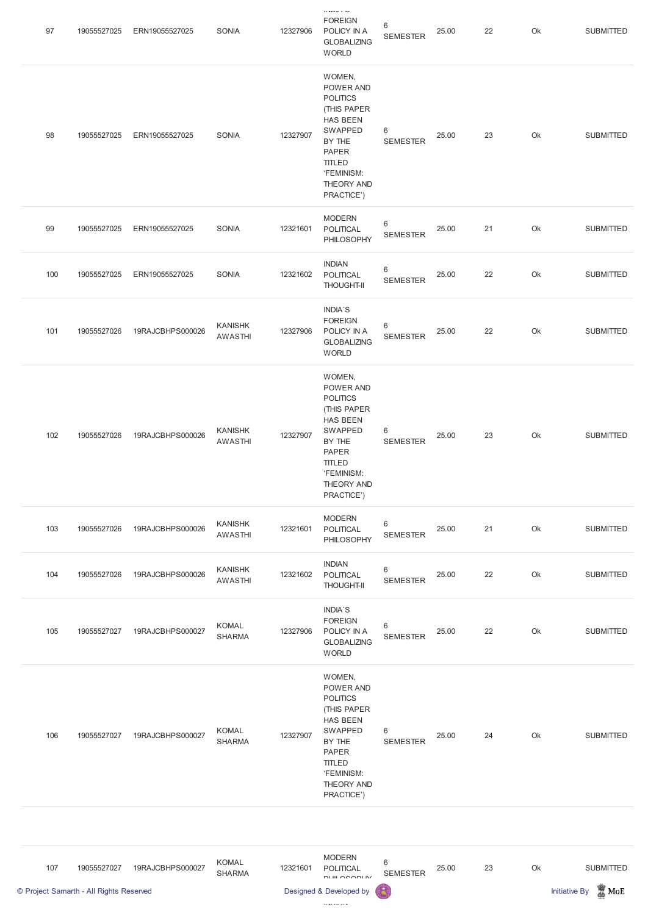| 97  | 19055527025 | ERN19055527025   | SONIA                            | 12327906 | $0.3 \cup 0.3 \cup$<br><b>FOREIGN</b><br>POLICY IN A<br><b>GLOBALIZING</b><br><b>WORLD</b>                                                                                      | 6<br><b>SEMESTER</b>     | 25.00 | 22 | Ok | <b>SUBMITTED</b> |
|-----|-------------|------------------|----------------------------------|----------|---------------------------------------------------------------------------------------------------------------------------------------------------------------------------------|--------------------------|-------|----|----|------------------|
| 98  | 19055527025 | ERN19055527025   | SONIA                            | 12327907 | WOMEN,<br>POWER AND<br><b>POLITICS</b><br>(THIS PAPER<br><b>HAS BEEN</b><br>SWAPPED<br>BY THE<br><b>PAPER</b><br><b>TITLED</b><br>'FEMINISM:<br>THEORY AND<br>PRACTICE')        | 6<br><b>SEMESTER</b>     | 25.00 | 23 | Ok | <b>SUBMITTED</b> |
| 99  | 19055527025 | ERN19055527025   | SONIA                            | 12321601 | <b>MODERN</b><br><b>POLITICAL</b><br>PHILOSOPHY                                                                                                                                 | $\,6$<br><b>SEMESTER</b> | 25.00 | 21 | Ok | <b>SUBMITTED</b> |
| 100 | 19055527025 | ERN19055527025   | SONIA                            | 12321602 | <b>INDIAN</b><br>POLITICAL<br><b>THOUGHT-II</b>                                                                                                                                 | $\,6$<br><b>SEMESTER</b> | 25.00 | 22 | Ok | <b>SUBMITTED</b> |
| 101 | 19055527026 | 19RAJCBHPS000026 | <b>KANISHK</b><br><b>AWASTHI</b> | 12327906 | <b>INDIA'S</b><br><b>FOREIGN</b><br>POLICY IN A<br><b>GLOBALIZING</b><br><b>WORLD</b>                                                                                           | 6<br><b>SEMESTER</b>     | 25.00 | 22 | Ok | <b>SUBMITTED</b> |
| 102 | 19055527026 | 19RAJCBHPS000026 | <b>KANISHK</b><br><b>AWASTHI</b> | 12327907 | WOMEN,<br>POWER AND<br><b>POLITICS</b><br>(THIS PAPER<br><b>HAS BEEN</b><br><b>SWAPPED</b><br>BY THE<br><b>PAPER</b><br><b>TITLED</b><br>'FEMINISM:<br>THEORY AND<br>PRACTICE') | $\,6$<br><b>SEMESTER</b> | 25.00 | 23 | Ok | <b>SUBMITTED</b> |
| 103 | 19055527026 | 19RAJCBHPS000026 | <b>KANISHK</b><br><b>AWASTHI</b> | 12321601 | <b>MODERN</b><br><b>POLITICAL</b><br>PHILOSOPHY                                                                                                                                 | $6\,$<br><b>SEMESTER</b> | 25.00 | 21 | Ok | <b>SUBMITTED</b> |
| 104 | 19055527026 | 19RAJCBHPS000026 | <b>KANISHK</b><br><b>AWASTHI</b> | 12321602 | <b>INDIAN</b><br>POLITICAL<br><b>THOUGHT-II</b>                                                                                                                                 | $\,6$<br><b>SEMESTER</b> | 25.00 | 22 | Ok | <b>SUBMITTED</b> |
| 105 | 19055527027 | 19RAJCBHPS000027 | <b>KOMAL</b><br><b>SHARMA</b>    | 12327906 | <b>INDIA'S</b><br><b>FOREIGN</b><br>POLICY IN A<br><b>GLOBALIZING</b><br><b>WORLD</b>                                                                                           | $\,6$<br><b>SEMESTER</b> | 25.00 | 22 | Ok | <b>SUBMITTED</b> |
|     |             |                  |                                  |          | WOMEN,<br>POWER AND                                                                                                                                                             |                          |       |    |    |                  |

| 106 | 19055527027 | 19RAJCBHPS000027 | <b>KOMAL</b><br><b>SHARMA</b> | 12327907 | <b>POLITICS</b><br>(THIS PAPER<br>HAS BEEN<br>SWAPPED<br>BY THE<br><b>PAPER</b><br><b>TITLED</b><br>'FEMINISM:<br>THEORY AND<br>PRACTICE') | 6<br><b>SEMESTER</b> | 25.00 | 24 | Ok | <b>SUBMITTED</b> |
|-----|-------------|------------------|-------------------------------|----------|--------------------------------------------------------------------------------------------------------------------------------------------|----------------------|-------|----|----|------------------|
|-----|-------------|------------------|-------------------------------|----------|--------------------------------------------------------------------------------------------------------------------------------------------|----------------------|-------|----|----|------------------|

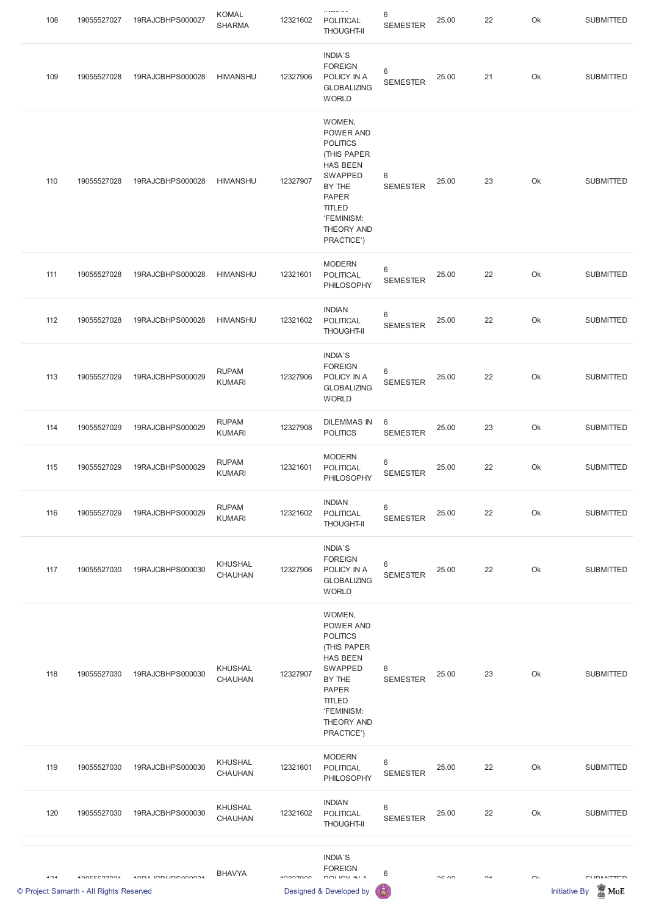| 108 | 19055527027                                            | 19RAJCBHPS000027           | <b>KOMAL</b><br><b>SHARMA</b>    | 12321602 | 0.3120333<br><b>POLITICAL</b><br><b>THOUGHT-II</b>                                                                                                                              | 6<br><b>SEMESTER</b>     | 25.00 | 22            | Ok                | <b>SUBMITTED</b>                                             |
|-----|--------------------------------------------------------|----------------------------|----------------------------------|----------|---------------------------------------------------------------------------------------------------------------------------------------------------------------------------------|--------------------------|-------|---------------|-------------------|--------------------------------------------------------------|
| 109 | 19055527028                                            | 19RAJCBHPS000028           | <b>HIMANSHU</b>                  | 12327906 | INDIA'S<br><b>FOREIGN</b><br>POLICY IN A<br><b>GLOBALIZING</b><br><b>WORLD</b>                                                                                                  | 6<br><b>SEMESTER</b>     | 25.00 | 21            | Ok                | <b>SUBMITTED</b>                                             |
| 110 | 19055527028                                            | 19RAJCBHPS000028           | <b>HIMANSHU</b>                  | 12327907 | WOMEN,<br>POWER AND<br><b>POLITICS</b><br>(THIS PAPER<br><b>HAS BEEN</b><br><b>SWAPPED</b><br>BY THE<br><b>PAPER</b><br><b>TITLED</b><br>'FEMINISM:<br>THEORY AND<br>PRACTICE') | $6\,$<br><b>SEMESTER</b> | 25.00 | 23            | Ok                | <b>SUBMITTED</b>                                             |
| 111 | 19055527028                                            | 19RAJCBHPS000028           | <b>HIMANSHU</b>                  | 12321601 | <b>MODERN</b><br><b>POLITICAL</b><br>PHILOSOPHY                                                                                                                                 | 6<br><b>SEMESTER</b>     | 25.00 | 22            | Ok                | <b>SUBMITTED</b>                                             |
| 112 | 19055527028                                            | 19RAJCBHPS000028           | <b>HIMANSHU</b>                  | 12321602 | <b>INDIAN</b><br>POLITICAL<br><b>THOUGHT-II</b>                                                                                                                                 | $\,6$<br><b>SEMESTER</b> | 25.00 | 22            | Ok                | <b>SUBMITTED</b>                                             |
| 113 | 19055527029                                            | 19RAJCBHPS000029           | <b>RUPAM</b><br><b>KUMARI</b>    | 12327906 | INDIA'S<br><b>FOREIGN</b><br>POLICY IN A<br><b>GLOBALIZING</b><br><b>WORLD</b>                                                                                                  | 6<br><b>SEMESTER</b>     | 25.00 | 22            | Ok                | <b>SUBMITTED</b>                                             |
| 114 | 19055527029                                            | 19RAJCBHPS000029           | <b>RUPAM</b><br><b>KUMARI</b>    | 12327908 | <b>DILEMMAS IN</b><br><b>POLITICS</b>                                                                                                                                           | 6<br><b>SEMESTER</b>     | 25.00 | 23            | Ok                | <b>SUBMITTED</b>                                             |
| 115 | 19055527029                                            | 19RAJCBHPS000029           | <b>RUPAM</b><br><b>KUMARI</b>    | 12321601 | <b>MODERN</b><br><b>POLITICAL</b><br>PHILOSOPHY                                                                                                                                 | 6<br><b>SEMESTER</b>     | 25.00 | 22            | Ok                | <b>SUBMITTED</b>                                             |
| 116 | 19055527029                                            | 19RAJCBHPS000029           | <b>RUPAM</b><br><b>KUMARI</b>    | 12321602 | <b>INDIAN</b><br>POLITICAL<br><b>THOUGHT-II</b>                                                                                                                                 | 6<br><b>SEMESTER</b>     | 25.00 | 22            | Ok                | <b>SUBMITTED</b>                                             |
| 117 | 19055527030                                            | 19RAJCBHPS000030           | <b>KHUSHAL</b><br><b>CHAUHAN</b> | 12327906 | INDIA'S<br><b>FOREIGN</b><br>POLICY IN A<br><b>GLOBALIZING</b><br><b>WORLD</b>                                                                                                  | 6<br><b>SEMESTER</b>     | 25.00 | 22            | Ok                | <b>SUBMITTED</b>                                             |
| 118 | 19055527030                                            | 19RAJCBHPS000030           | <b>KHUSHAL</b><br><b>CHAUHAN</b> | 12327907 | WOMEN,<br>POWER AND<br><b>POLITICS</b><br>(THIS PAPER<br><b>HAS BEEN</b><br>SWAPPED<br>BY THE<br><b>PAPER</b><br><b>TITLED</b><br>'FEMINISM:<br><b>THEORY AND</b><br>PRACTICE') | 6<br><b>SEMESTER</b>     | 25.00 | 23            | Ok                | <b>SUBMITTED</b>                                             |
| 119 | 19055527030                                            | 19RAJCBHPS000030           | <b>KHUSHAL</b><br><b>CHAUHAN</b> | 12321601 | <b>MODERN</b><br><b>POLITICAL</b><br>PHILOSOPHY                                                                                                                                 | $\,6$<br><b>SEMESTER</b> | 25.00 | 22            | Ok                | <b>SUBMITTED</b>                                             |
| 120 | 19055527030                                            | 19RAJCBHPS000030           | <b>KHUSHAL</b><br>CHAUHAN        | 12321602 | <b>INDIAN</b><br>POLITICAL<br><b>THOUGHT-II</b>                                                                                                                                 | 6<br><b>SEMESTER</b>     | 25.00 | 22            | Ok                | <b>SUBMITTED</b>                                             |
| 101 | 100EEE07094<br>© Project Samarth - All Rights Reserved | <b>AND A IMPLIFICAMMON</b> | <b>BHAVYA</b>                    | 1000700C | INDIA'S<br><b>FOREIGN</b><br><b>DOLIOVINIA</b><br>Designed & Developed by                                                                                                       | 6                        | OE UU | $\mathcal{D}$ | $\cap \mathsf{L}$ | <b>CIIDMITTED</b><br>$\mathbb Z$ MoE<br><b>Initiative By</b> |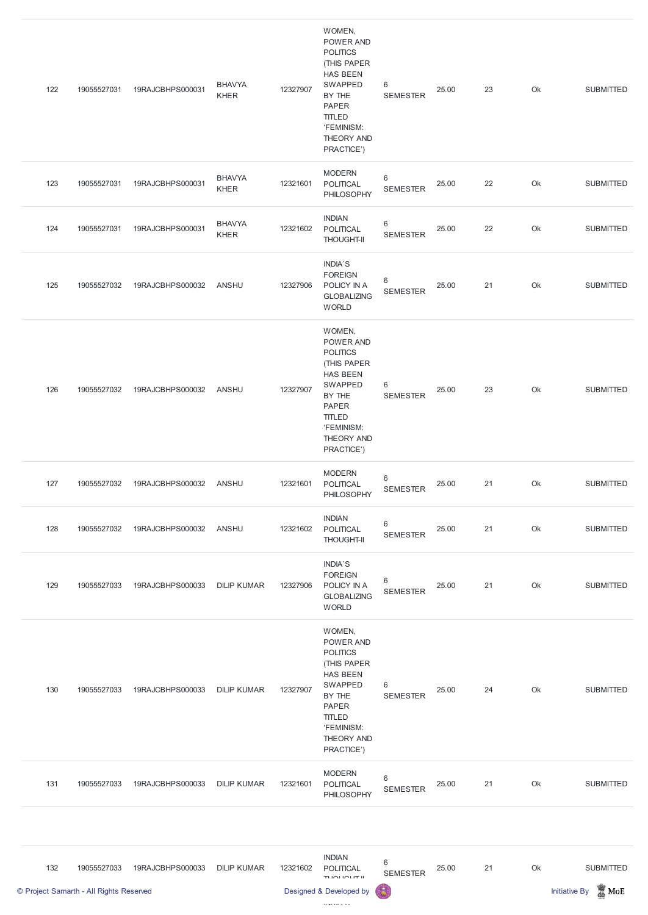|     | © Project Samarth - All Rights Reserved |                  |                              |          | TUOLIOUT II<br>Designed & Developed by                                                                                                                                   | 局                        |       |    |    | $\frac{1}{20}$ MoE<br><b>Initiative By</b> |
|-----|-----------------------------------------|------------------|------------------------------|----------|--------------------------------------------------------------------------------------------------------------------------------------------------------------------------|--------------------------|-------|----|----|--------------------------------------------|
| 132 | 19055527033                             | 19RAJCBHPS000033 | <b>DILIP KUMAR</b>           | 12321602 | <b>INDIAN</b><br>POLITICAL                                                                                                                                               | $\,6$<br><b>SEMESTER</b> | 25.00 | 21 | Ok | <b>SUBMITTED</b>                           |
| 131 | 19055527033                             | 19RAJCBHPS000033 | <b>DILIP KUMAR</b>           | 12321601 | <b>MODERN</b><br>POLITICAL<br>PHILOSOPHY                                                                                                                                 | $\,6$<br><b>SEMESTER</b> | 25.00 | 21 | Ok | <b>SUBMITTED</b>                           |
| 130 | 19055527033                             | 19RAJCBHPS000033 | <b>DILIP KUMAR</b>           | 12327907 | WOMEN,<br>POWER AND<br><b>POLITICS</b><br>(THIS PAPER<br><b>HAS BEEN</b><br>SWAPPED<br>BY THE<br><b>PAPER</b><br><b>TITLED</b><br>'FEMINISM:<br>THEORY AND<br>PRACTICE') | 6<br><b>SEMESTER</b>     | 25.00 | 24 | Ok | <b>SUBMITTED</b>                           |
| 129 | 19055527033                             | 19RAJCBHPS000033 | <b>DILIP KUMAR</b>           | 12327906 | <b>INDIA'S</b><br><b>FOREIGN</b><br>POLICY IN A<br><b>GLOBALIZING</b><br><b>WORLD</b>                                                                                    | $\,6$<br><b>SEMESTER</b> | 25.00 | 21 | Ok | <b>SUBMITTED</b>                           |
| 128 | 19055527032                             | 19RAJCBHPS000032 | <b>ANSHU</b>                 | 12321602 | <b>INDIAN</b><br>POLITICAL<br><b>THOUGHT-II</b>                                                                                                                          | $\,6$<br><b>SEMESTER</b> | 25.00 | 21 | Ok | <b>SUBMITTED</b>                           |
| 127 | 19055527032                             | 19RAJCBHPS000032 | ANSHU                        | 12321601 | <b>MODERN</b><br>POLITICAL<br>PHILOSOPHY                                                                                                                                 | $\,6$<br><b>SEMESTER</b> | 25.00 | 21 | Ok | <b>SUBMITTED</b>                           |
| 126 | 19055527032                             | 19RAJCBHPS000032 | <b>ANSHU</b>                 | 12327907 | WOMEN,<br>POWER AND<br><b>POLITICS</b><br>(THIS PAPER<br><b>HAS BEEN</b><br>SWAPPED<br>BY THE<br><b>PAPER</b><br><b>TITLED</b><br>'FEMINISM:<br>THEORY AND<br>PRACTICE') | 6<br><b>SEMESTER</b>     | 25.00 | 23 | Ok | <b>SUBMITTED</b>                           |
| 125 | 19055527032                             | 19RAJCBHPS000032 | ANSHU                        | 12327906 | <b>INDIA'S</b><br><b>FOREIGN</b><br>POLICY IN A<br><b>GLOBALIZING</b><br><b>WORLD</b>                                                                                    | 6<br><b>SEMESTER</b>     | 25.00 | 21 | Ok | <b>SUBMITTED</b>                           |
| 124 | 19055527031                             | 19RAJCBHPS000031 | <b>BHAVYA</b><br><b>KHER</b> | 12321602 | <b>INDIAN</b><br>POLITICAL<br><b>THOUGHT-II</b>                                                                                                                          | $\,6$<br><b>SEMESTER</b> | 25.00 | 22 | Ok | <b>SUBMITTED</b>                           |
| 123 | 19055527031                             | 19RAJCBHPS000031 | <b>BHAVYA</b><br><b>KHER</b> | 12321601 | <b>MODERN</b><br>POLITICAL<br>PHILOSOPHY                                                                                                                                 | $\,6$<br><b>SEMESTER</b> | 25.00 | 22 | Ok | <b>SUBMITTED</b>                           |
| 122 | 19055527031                             | 19RAJCBHPS000031 | <b>BHAVYA</b><br><b>KHER</b> | 12327907 | WOMEN,<br>POWER AND<br><b>POLITICS</b><br>(THIS PAPER<br><b>HAS BEEN</b><br>SWAPPED<br>BY THE<br><b>PAPER</b><br><b>TITLED</b><br>'FEMINISM:<br>THEORY AND<br>PRACTICE') | 6<br><b>SEMESTER</b>     | 25.00 | 23 | Ok | <b>SUBMITTED</b>                           |
|     |                                         |                  |                              |          |                                                                                                                                                                          |                          |       |    |    |                                            |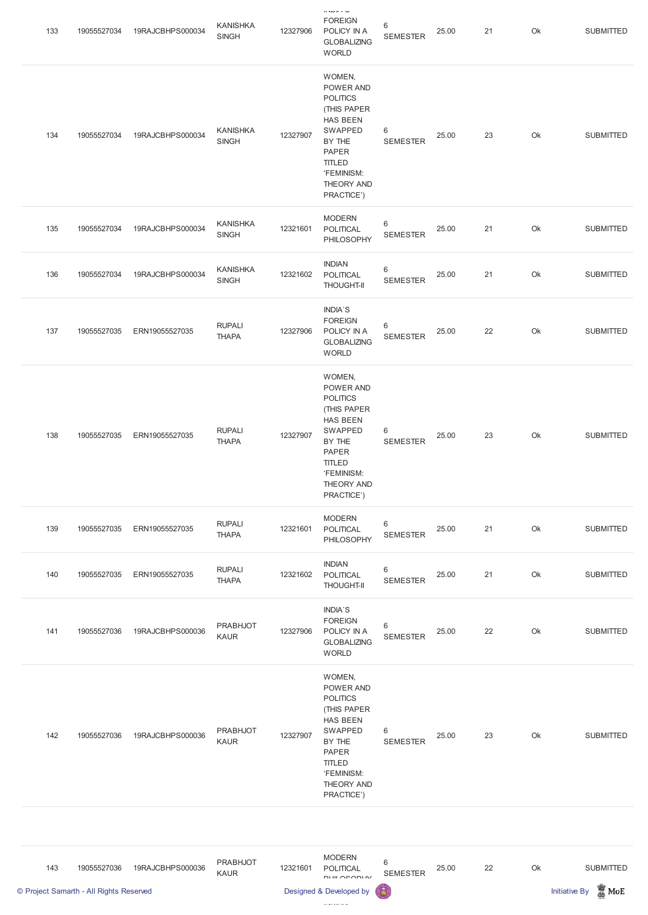| 133 | 19055527034 | 19RAJCBHPS000034 | <b>KANISHKA</b><br><b>SINGH</b> | 12327906 | <b>FOREIGN</b><br>POLICY IN A<br><b>GLOBALIZING</b><br><b>WORLD</b>                                                                                                      | 6<br><b>SEMESTER</b>              | 25.00 | 21 | Ok | <b>SUBMITTED</b> |
|-----|-------------|------------------|---------------------------------|----------|--------------------------------------------------------------------------------------------------------------------------------------------------------------------------|-----------------------------------|-------|----|----|------------------|
| 134 | 19055527034 | 19RAJCBHPS000034 | <b>KANISHKA</b><br><b>SINGH</b> | 12327907 | WOMEN,<br>POWER AND<br><b>POLITICS</b><br>(THIS PAPER<br><b>HAS BEEN</b><br>SWAPPED<br>BY THE<br><b>PAPER</b><br><b>TITLED</b><br>'FEMINISM:<br>THEORY AND<br>PRACTICE') | 6<br><b>SEMESTER</b>              | 25.00 | 23 | Ok | <b>SUBMITTED</b> |
| 135 | 19055527034 | 19RAJCBHPS000034 | <b>KANISHKA</b><br><b>SINGH</b> | 12321601 | <b>MODERN</b><br><b>POLITICAL</b><br>PHILOSOPHY                                                                                                                          | $6\phantom{1}$<br><b>SEMESTER</b> | 25.00 | 21 | Ok | <b>SUBMITTED</b> |
| 136 | 19055527034 | 19RAJCBHPS000034 | <b>KANISHKA</b><br><b>SINGH</b> | 12321602 | <b>INDIAN</b><br>POLITICAL<br><b>THOUGHT-II</b>                                                                                                                          | $\,6\,$<br><b>SEMESTER</b>        | 25.00 | 21 | Ok | <b>SUBMITTED</b> |
| 137 | 19055527035 | ERN19055527035   | <b>RUPALI</b><br><b>THAPA</b>   | 12327906 | INDIA'S<br><b>FOREIGN</b><br>POLICY IN A<br><b>GLOBALIZING</b><br><b>WORLD</b>                                                                                           | $6\phantom{1}$<br><b>SEMESTER</b> | 25.00 | 22 | Ok | <b>SUBMITTED</b> |
| 138 | 19055527035 | ERN19055527035   | <b>RUPALI</b><br><b>THAPA</b>   | 12327907 | WOMEN,<br>POWER AND<br><b>POLITICS</b><br>(THIS PAPER<br>HAS BEEN<br>SWAPPED<br>BY THE<br><b>PAPER</b><br><b>TITLED</b><br>'FEMINISM:<br>THEORY AND<br>PRACTICE')        | 6<br><b>SEMESTER</b>              | 25.00 | 23 | Ok | <b>SUBMITTED</b> |
| 139 | 19055527035 | ERN19055527035   | <b>RUPALI</b><br><b>THAPA</b>   | 12321601 | <b>MODERN</b><br><b>POLITICAL</b><br>PHILOSOPHY                                                                                                                          | $\,6\,$<br><b>SEMESTER</b>        | 25.00 | 21 | Ok | <b>SUBMITTED</b> |
| 140 | 19055527035 | ERN19055527035   | <b>RUPALI</b><br><b>THAPA</b>   | 12321602 | <b>INDIAN</b><br>POLITICAL<br><b>THOUGHT-II</b>                                                                                                                          | $\,6\,$<br><b>SEMESTER</b>        | 25.00 | 21 | Ok | <b>SUBMITTED</b> |
| 141 | 19055527036 | 19RAJCBHPS000036 | <b>PRABHJOT</b><br><b>KAUR</b>  | 12327906 | INDIA'S<br><b>FOREIGN</b><br>POLICY IN A<br><b>GLOBALIZING</b><br><b>WORLD</b>                                                                                           | $6\,$<br><b>SEMESTER</b>          | 25.00 | 22 | Ok | <b>SUBMITTED</b> |
|     |             |                  |                                 |          | WOMEN,                                                                                                                                                                   |                                   |       |    |    |                  |

 $\|u\|_{\mathcal{M}}$  is  $\mathcal{Q}$ 

POWER AND

| 142 | 19055527036 | 19RAJCBHPS000036 | <b>PRABHJOT</b><br><b>KAUR</b> | 12327907 | <b>POLITICS</b><br>(THIS PAPER<br>HAS BEEN<br>SWAPPED<br>BY THE<br><b>PAPER</b><br><b>TITLED</b><br>'FEMINISM:<br>THEORY AND<br>PRACTICE') | 6<br><b>SEMESTER</b> | 25.00 | 23 | Ok | <b>SUBMITTED</b> |
|-----|-------------|------------------|--------------------------------|----------|--------------------------------------------------------------------------------------------------------------------------------------------|----------------------|-------|----|----|------------------|
|-----|-------------|------------------|--------------------------------|----------|--------------------------------------------------------------------------------------------------------------------------------------------|----------------------|-------|----|----|------------------|

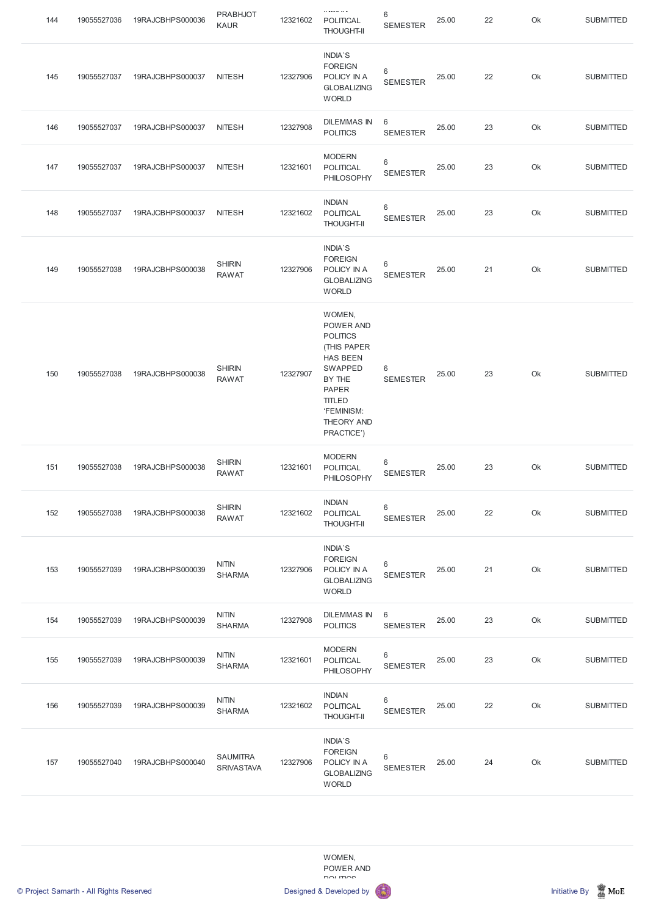| 144 | 19055527036 | 19RAJCBHPS000036 | <b>PRABHJOT</b><br><b>KAUR</b> | 12321602 | $0.3 - 0.313$<br><b>POLITICAL</b><br><b>THOUGHT-II</b>                                                                                                                          | 6<br><b>SEMESTER</b>               | 25.00 | 22 | Ok | <b>SUBMITTED</b> |
|-----|-------------|------------------|--------------------------------|----------|---------------------------------------------------------------------------------------------------------------------------------------------------------------------------------|------------------------------------|-------|----|----|------------------|
| 145 | 19055527037 | 19RAJCBHPS000037 | <b>NITESH</b>                  | 12327906 | <b>INDIA'S</b><br><b>FOREIGN</b><br>POLICY IN A<br><b>GLOBALIZING</b><br><b>WORLD</b>                                                                                           | 6<br><b>SEMESTER</b>               | 25.00 | 22 | Ok | <b>SUBMITTED</b> |
| 146 | 19055527037 | 19RAJCBHPS000037 | <b>NITESH</b>                  | 12327908 | <b>DILEMMAS IN</b><br><b>POLITICS</b>                                                                                                                                           | 6<br><b>SEMESTER</b>               | 25.00 | 23 | Ok | <b>SUBMITTED</b> |
| 147 | 19055527037 | 19RAJCBHPS000037 | <b>NITESH</b>                  | 12321601 | <b>MODERN</b><br><b>POLITICAL</b><br>PHILOSOPHY                                                                                                                                 | 6<br><b>SEMESTER</b>               | 25.00 | 23 | Ok | <b>SUBMITTED</b> |
| 148 | 19055527037 | 19RAJCBHPS000037 | <b>NITESH</b>                  | 12321602 | <b>INDIAN</b><br><b>POLITICAL</b><br><b>THOUGHT-II</b>                                                                                                                          | 6<br><b>SEMESTER</b>               | 25.00 | 23 | Ok | <b>SUBMITTED</b> |
| 149 | 19055527038 | 19RAJCBHPS000038 | <b>SHIRIN</b><br><b>RAWAT</b>  | 12327906 | <b>INDIA'S</b><br><b>FOREIGN</b><br>POLICY IN A<br><b>GLOBALIZING</b><br><b>WORLD</b>                                                                                           | 6<br><b>SEMESTER</b>               | 25.00 | 21 | Ok | <b>SUBMITTED</b> |
| 150 | 19055527038 | 19RAJCBHPS000038 | <b>SHIRIN</b><br><b>RAWAT</b>  | 12327907 | WOMEN,<br>POWER AND<br><b>POLITICS</b><br>(THIS PAPER<br><b>HAS BEEN</b><br><b>SWAPPED</b><br>BY THE<br><b>PAPER</b><br><b>TITLED</b><br>'FEMINISM:<br>THEORY AND<br>PRACTICE') | 6<br><b>SEMESTER</b>               | 25.00 | 23 | Ok | <b>SUBMITTED</b> |
| 151 | 19055527038 | 19RAJCBHPS000038 | <b>SHIRIN</b><br><b>RAWAT</b>  | 12321601 | <b>MODERN</b><br><b>POLITICAL</b><br>PHILOSOPHY                                                                                                                                 | 6<br><b>SEMESTER</b>               | 25.00 | 23 | Ok | <b>SUBMITTED</b> |
| 152 | 19055527038 | 19RAJCBHPS000038 | <b>SHIRIN</b><br><b>RAWAT</b>  | 12321602 | <b>INDIAN</b><br>POLITICAL<br><b>THOUGHT-II</b>                                                                                                                                 | 6<br><b>SEMESTER</b>               | 25.00 | 22 | Ok | <b>SUBMITTED</b> |
| 153 | 19055527039 | 19RAJCBHPS000039 | <b>NITIN</b><br><b>SHARMA</b>  | 12327906 | <b>INDIA'S</b><br><b>FOREIGN</b><br>POLICY IN A<br><b>GLOBALIZING</b><br><b>WORLD</b>                                                                                           | 6<br><b>SEMESTER</b>               | 25.00 | 21 | Ok | <b>SUBMITTED</b> |
| 154 | 19055527039 | 19RAJCBHPS000039 | <b>NITIN</b><br><b>SHARMA</b>  | 12327908 | <b>DILEMMAS IN</b><br><b>POLITICS</b>                                                                                                                                           | $6\phantom{1}6$<br><b>SEMESTER</b> | 25.00 | 23 | Ok | <b>SUBMITTED</b> |
| 155 | 19055527039 | 19RAJCBHPS000039 | <b>NITIN</b><br><b>SHARMA</b>  | 12321601 | <b>MODERN</b><br><b>POLITICAL</b><br>PHILOSOPHY                                                                                                                                 | 6<br><b>SEMESTER</b>               | 25.00 | 23 | Ok | <b>SUBMITTED</b> |







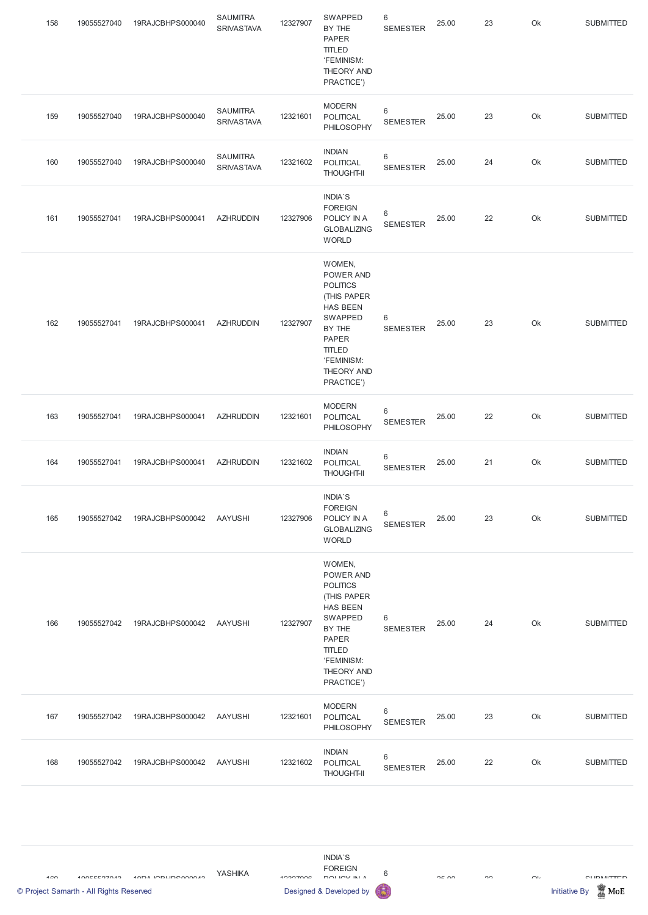| 158 | 19055527040 | 19RAJCBHPS000040 | <b>SAUMITRA</b><br><b>SRIVASTAVA</b> | 12327907 | SWAPPED<br>BY THE<br><b>PAPER</b><br><b>TITLED</b><br>'FEMINISM:<br>THEORY AND<br>PRACTICE')                                                                                    | 6<br><b>SEMESTER</b>       | 25.00 | 23 | Ok | <b>SUBMITTED</b> |
|-----|-------------|------------------|--------------------------------------|----------|---------------------------------------------------------------------------------------------------------------------------------------------------------------------------------|----------------------------|-------|----|----|------------------|
| 159 | 19055527040 | 19RAJCBHPS000040 | <b>SAUMITRA</b><br><b>SRIVASTAVA</b> | 12321601 | <b>MODERN</b><br>POLITICAL<br>PHILOSOPHY                                                                                                                                        | 6<br><b>SEMESTER</b>       | 25.00 | 23 | Ok | <b>SUBMITTED</b> |
| 160 | 19055527040 | 19RAJCBHPS000040 | <b>SAUMITRA</b><br><b>SRIVASTAVA</b> | 12321602 | <b>INDIAN</b><br>POLITICAL<br><b>THOUGHT-II</b>                                                                                                                                 | $\,6\,$<br><b>SEMESTER</b> | 25.00 | 24 | Ok | <b>SUBMITTED</b> |
| 161 | 19055527041 | 19RAJCBHPS000041 | <b>AZHRUDDIN</b>                     | 12327906 | INDIA'S<br><b>FOREIGN</b><br>POLICY IN A<br><b>GLOBALIZING</b><br><b>WORLD</b>                                                                                                  | $\,6\,$<br><b>SEMESTER</b> | 25.00 | 22 | Ok | <b>SUBMITTED</b> |
| 162 | 19055527041 | 19RAJCBHPS000041 | <b>AZHRUDDIN</b>                     | 12327907 | WOMEN,<br>POWER AND<br><b>POLITICS</b><br>(THIS PAPER<br><b>HAS BEEN</b><br>SWAPPED<br>BY THE<br><b>PAPER</b><br><b>TITLED</b><br>'FEMINISM:<br><b>THEORY AND</b><br>PRACTICE') | 6<br><b>SEMESTER</b>       | 25.00 | 23 | Ok | <b>SUBMITTED</b> |
| 163 | 19055527041 | 19RAJCBHPS000041 | <b>AZHRUDDIN</b>                     | 12321601 | <b>MODERN</b><br>POLITICAL<br>PHILOSOPHY                                                                                                                                        | 6<br><b>SEMESTER</b>       | 25.00 | 22 | Ok | <b>SUBMITTED</b> |
| 164 | 19055527041 | 19RAJCBHPS000041 | <b>AZHRUDDIN</b>                     | 12321602 | <b>INDIAN</b><br>POLITICAL<br><b>THOUGHT-II</b>                                                                                                                                 | $\,6\,$<br><b>SEMESTER</b> | 25.00 | 21 | Ok | <b>SUBMITTED</b> |
| 165 | 19055527042 | 19RAJCBHPS000042 | <b>AAYUSHI</b>                       | 12327906 | INDIA'S<br><b>FOREIGN</b><br>POLICY IN A<br><b>GLOBALIZING</b><br><b>WORLD</b>                                                                                                  | $\,6\,$<br><b>SEMESTER</b> | 25.00 | 23 | Ok | <b>SUBMITTED</b> |
| 166 | 19055527042 | 19RAJCBHPS000042 | <b>AAYUSHI</b>                       | 12327907 | WOMEN,<br>POWER AND<br><b>POLITICS</b><br>(THIS PAPER<br><b>HAS BEEN</b><br>SWAPPED<br>BY THE<br>PAPER<br><b>TITLED</b><br>'FEMINISM:<br><b>THEORY AND</b><br>PRACTICE')        | 6<br><b>SEMESTER</b>       | 25.00 | 24 | Ok | <b>SUBMITTED</b> |



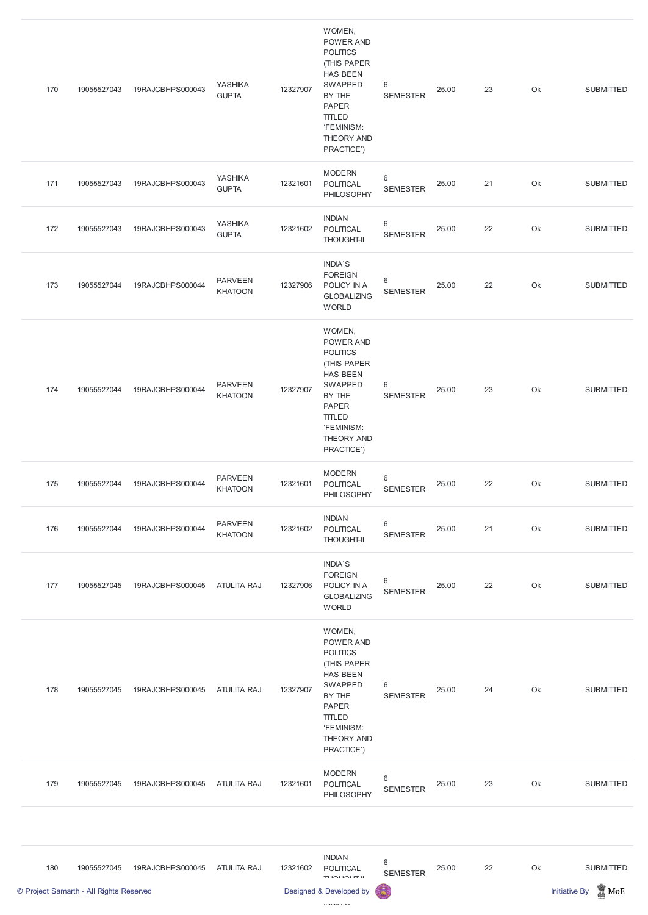|     | © Project Samarth - All Rights Reserved |                  |                                  |          | Designed & Developed by                                                                                                                                                  | 局                                  |       |    |               | $\frac{1}{20}$ MoE<br><b>Initiative By</b> |
|-----|-----------------------------------------|------------------|----------------------------------|----------|--------------------------------------------------------------------------------------------------------------------------------------------------------------------------|------------------------------------|-------|----|---------------|--------------------------------------------|
| 180 | 19055527045                             | 19RAJCBHPS000045 | <b>ATULITA RAJ</b>               | 12321602 | <b>INDIAN</b><br><b>POLITICAL</b><br>TUOLIOUT II                                                                                                                         | $6\phantom{1}6$<br><b>SEMESTER</b> | 25.00 | 22 | $\mathsf{Ok}$ | <b>SUBMITTED</b>                           |
| 179 | 19055527045                             | 19RAJCBHPS000045 | <b>ATULITA RAJ</b>               | 12321601 | <b>MODERN</b><br><b>POLITICAL</b><br>PHILOSOPHY                                                                                                                          | $\,6\,$<br><b>SEMESTER</b>         | 25.00 | 23 | Ok            | <b>SUBMITTED</b>                           |
| 178 | 19055527045                             | 19RAJCBHPS000045 | <b>ATULITA RAJ</b>               | 12327907 | WOMEN,<br>POWER AND<br><b>POLITICS</b><br>(THIS PAPER<br><b>HAS BEEN</b><br>SWAPPED<br>BY THE<br><b>PAPER</b><br><b>TITLED</b><br>'FEMINISM:<br>THEORY AND<br>PRACTICE') | 6<br><b>SEMESTER</b>               | 25.00 | 24 | Ok            | <b>SUBMITTED</b>                           |
| 177 | 19055527045                             | 19RAJCBHPS000045 | <b>ATULITA RAJ</b>               | 12327906 | <b>INDIA'S</b><br><b>FOREIGN</b><br>POLICY IN A<br><b>GLOBALIZING</b><br><b>WORLD</b>                                                                                    | $6\,$<br><b>SEMESTER</b>           | 25.00 | 22 | Ok            | <b>SUBMITTED</b>                           |
| 176 | 19055527044                             | 19RAJCBHPS000044 | <b>PARVEEN</b><br><b>KHATOON</b> | 12321602 | <b>INDIAN</b><br>POLITICAL<br><b>THOUGHT-II</b>                                                                                                                          | $\,6\,$<br><b>SEMESTER</b>         | 25.00 | 21 | Ok            | <b>SUBMITTED</b>                           |
| 175 | 19055527044                             | 19RAJCBHPS000044 | <b>PARVEEN</b><br><b>KHATOON</b> | 12321601 | <b>MODERN</b><br><b>POLITICAL</b><br>PHILOSOPHY                                                                                                                          | $\,6\,$<br><b>SEMESTER</b>         | 25.00 | 22 | Ok            | <b>SUBMITTED</b>                           |
| 174 | 19055527044                             | 19RAJCBHPS000044 | <b>PARVEEN</b><br><b>KHATOON</b> | 12327907 | WOMEN,<br>POWER AND<br><b>POLITICS</b><br>(THIS PAPER<br><b>HAS BEEN</b><br>SWAPPED<br>BY THE<br><b>PAPER</b><br><b>TITLED</b><br>'FEMINISM:<br>THEORY AND<br>PRACTICE') | $\,6\,$<br><b>SEMESTER</b>         | 25.00 | 23 | Ok            | <b>SUBMITTED</b>                           |
| 173 | 19055527044                             | 19RAJCBHPS000044 | <b>PARVEEN</b><br><b>KHATOON</b> | 12327906 | <b>INDIA'S</b><br><b>FOREIGN</b><br>POLICY IN A<br><b>GLOBALIZING</b><br><b>WORLD</b>                                                                                    | $6\,$<br><b>SEMESTER</b>           | 25.00 | 22 | Ok            | <b>SUBMITTED</b>                           |
| 172 | 19055527043                             | 19RAJCBHPS000043 | YASHIKA<br><b>GUPTA</b>          | 12321602 | <b>INDIAN</b><br><b>POLITICAL</b><br><b>THOUGHT-II</b>                                                                                                                   | $\,6\,$<br><b>SEMESTER</b>         | 25.00 | 22 | Ok            | <b>SUBMITTED</b>                           |
| 171 | 19055527043                             | 19RAJCBHPS000043 | YASHIKA<br><b>GUPTA</b>          | 12321601 | <b>MODERN</b><br><b>POLITICAL</b><br>PHILOSOPHY                                                                                                                          | $\,6\,$<br><b>SEMESTER</b>         | 25.00 | 21 | Ok            | <b>SUBMITTED</b>                           |
| 170 | 19055527043                             | 19RAJCBHPS000043 | YASHIKA<br><b>GUPTA</b>          | 12327907 | WOMEN,<br>POWER AND<br><b>POLITICS</b><br>(THIS PAPER<br><b>HAS BEEN</b><br>SWAPPED<br>BY THE<br><b>PAPER</b><br><b>TITLED</b><br>'FEMINISM:<br>THEORY AND<br>PRACTICE') | $6\phantom{1}$<br><b>SEMESTER</b>  | 25.00 | 23 | Ok            | <b>SUBMITTED</b>                           |
|     |                                         |                  |                                  |          |                                                                                                                                                                          |                                    |       |    |               |                                            |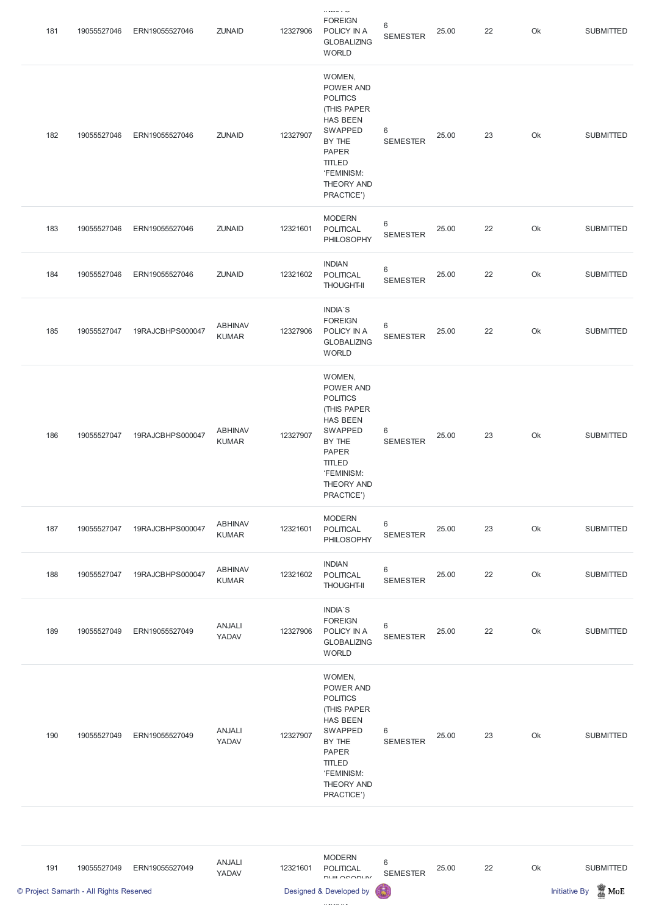| 181 | 19055527046 | ERN19055527046   | <b>ZUNAID</b>                  | 12327906 | $\cdots$<br><b>FOREIGN</b><br>POLICY IN A<br><b>GLOBALIZING</b><br><b>WORLD</b>                                                                                          | 6<br><b>SEMESTER</b>              | 25.00 | 22 | Ok | <b>SUBMITTED</b> |
|-----|-------------|------------------|--------------------------------|----------|--------------------------------------------------------------------------------------------------------------------------------------------------------------------------|-----------------------------------|-------|----|----|------------------|
| 182 | 19055527046 | ERN19055527046   | <b>ZUNAID</b>                  | 12327907 | WOMEN,<br>POWER AND<br><b>POLITICS</b><br>(THIS PAPER<br><b>HAS BEEN</b><br>SWAPPED<br>BY THE<br><b>PAPER</b><br><b>TITLED</b><br>'FEMINISM:<br>THEORY AND<br>PRACTICE') | $\,6\,$<br><b>SEMESTER</b>        | 25.00 | 23 | Ok | <b>SUBMITTED</b> |
| 183 | 19055527046 | ERN19055527046   | <b>ZUNAID</b>                  | 12321601 | <b>MODERN</b><br>POLITICAL<br>PHILOSOPHY                                                                                                                                 | $\,6\,$<br><b>SEMESTER</b>        | 25.00 | 22 | Ok | <b>SUBMITTED</b> |
| 184 | 19055527046 | ERN19055527046   | <b>ZUNAID</b>                  | 12321602 | <b>INDIAN</b><br>POLITICAL<br><b>THOUGHT-II</b>                                                                                                                          | $\,6\,$<br><b>SEMESTER</b>        | 25.00 | 22 | Ok | <b>SUBMITTED</b> |
| 185 | 19055527047 | 19RAJCBHPS000047 | <b>ABHINAV</b><br><b>KUMAR</b> | 12327906 | <b>INDIA'S</b><br><b>FOREIGN</b><br>POLICY IN A<br><b>GLOBALIZING</b><br><b>WORLD</b>                                                                                    | $6\phantom{1}$<br><b>SEMESTER</b> | 25.00 | 22 | Ok | <b>SUBMITTED</b> |
| 186 | 19055527047 | 19RAJCBHPS000047 | <b>ABHINAV</b><br><b>KUMAR</b> | 12327907 | WOMEN,<br>POWER AND<br><b>POLITICS</b><br>(THIS PAPER<br><b>HAS BEEN</b><br>SWAPPED<br>BY THE<br><b>PAPER</b><br><b>TITLED</b><br>'FEMINISM:<br>THEORY AND<br>PRACTICE') | 6<br><b>SEMESTER</b>              | 25.00 | 23 | Ok | <b>SUBMITTED</b> |
| 187 | 19055527047 | 19RAJCBHPS000047 | <b>ABHINAV</b><br><b>KUMAR</b> | 12321601 | <b>MODERN</b><br>POLITICAL<br>PHILOSOPHY                                                                                                                                 | 6<br><b>SEMESTER</b>              | 25.00 | 23 | Ok | <b>SUBMITTED</b> |
| 188 | 19055527047 | 19RAJCBHPS000047 | <b>ABHINAV</b><br><b>KUMAR</b> | 12321602 | <b>INDIAN</b><br>POLITICAL<br><b>THOUGHT-II</b>                                                                                                                          | $\,6\,$<br><b>SEMESTER</b>        | 25.00 | 22 | Ok | <b>SUBMITTED</b> |
| 189 | 19055527049 | ERN19055527049   | <b>ANJALI</b><br>YADAV         | 12327906 | <b>INDIA'S</b><br><b>FOREIGN</b><br>POLICY IN A<br><b>GLOBALIZING</b><br><b>WORLD</b>                                                                                    | $6\,$<br><b>SEMESTER</b>          | 25.00 | 22 | Ok | <b>SUBMITTED</b> |
|     |             |                  |                                |          | WOMEN,                                                                                                                                                                   |                                   |       |    |    |                  |

POWER AND

| 190 | 19055527049 | ERN19055527049 | ANJALI<br>YADAV | 12327907 | <b>POLITICS</b><br>(THIS PAPER<br><b>HAS BEEN</b><br>SWAPPED<br>BY THE<br><b>PAPER</b><br><b>TITLED</b><br>'FEMINISM:<br>THEORY AND<br>PRACTICE') | 6<br><b>SEMESTER</b> | 25.00 | 23 | Ok | <b>SUBMITTED</b> |
|-----|-------------|----------------|-----------------|----------|---------------------------------------------------------------------------------------------------------------------------------------------------|----------------------|-------|----|----|------------------|
|-----|-------------|----------------|-----------------|----------|---------------------------------------------------------------------------------------------------------------------------------------------------|----------------------|-------|----|----|------------------|

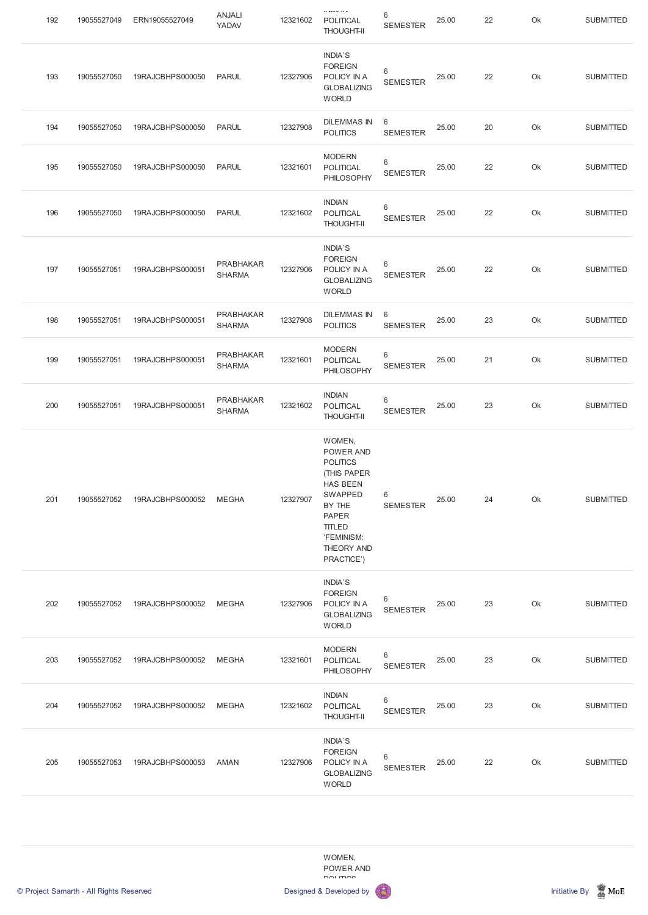| 192 | 19055527049 | ERN19055527049   | <b>ANJALI</b><br>YADAV            | 12321602 | $H = L - L$<br><b>POLITICAL</b><br><b>THOUGHT-II</b>                                                                                                                                   | 6<br><b>SEMESTER</b>     | 25.00 | 22 | Ok | <b>SUBMITTED</b> |
|-----|-------------|------------------|-----------------------------------|----------|----------------------------------------------------------------------------------------------------------------------------------------------------------------------------------------|--------------------------|-------|----|----|------------------|
| 193 | 19055527050 | 19RAJCBHPS000050 | <b>PARUL</b>                      | 12327906 | <b>INDIA'S</b><br><b>FOREIGN</b><br>POLICY IN A<br><b>GLOBALIZING</b><br><b>WORLD</b>                                                                                                  | 6<br><b>SEMESTER</b>     | 25.00 | 22 | Ok | <b>SUBMITTED</b> |
| 194 | 19055527050 | 19RAJCBHPS000050 | <b>PARUL</b>                      | 12327908 | <b>DILEMMAS IN</b><br><b>POLITICS</b>                                                                                                                                                  | 6<br><b>SEMESTER</b>     | 25.00 | 20 | Ok | <b>SUBMITTED</b> |
| 195 | 19055527050 | 19RAJCBHPS000050 | <b>PARUL</b>                      | 12321601 | <b>MODERN</b><br><b>POLITICAL</b><br>PHILOSOPHY                                                                                                                                        | 6<br><b>SEMESTER</b>     | 25.00 | 22 | Ok | <b>SUBMITTED</b> |
| 196 | 19055527050 | 19RAJCBHPS000050 | <b>PARUL</b>                      | 12321602 | <b>INDIAN</b><br>POLITICAL<br><b>THOUGHT-II</b>                                                                                                                                        | 6<br><b>SEMESTER</b>     | 25.00 | 22 | Ok | <b>SUBMITTED</b> |
| 197 | 19055527051 | 19RAJCBHPS000051 | PRABHAKAR<br><b>SHARMA</b>        | 12327906 | <b>INDIA'S</b><br><b>FOREIGN</b><br>POLICY IN A<br><b>GLOBALIZING</b><br><b>WORLD</b>                                                                                                  | 6<br><b>SEMESTER</b>     | 25.00 | 22 | Ok | <b>SUBMITTED</b> |
| 198 | 19055527051 | 19RAJCBHPS000051 | <b>PRABHAKAR</b><br><b>SHARMA</b> | 12327908 | <b>DILEMMAS IN</b><br><b>POLITICS</b>                                                                                                                                                  | 6<br><b>SEMESTER</b>     | 25.00 | 23 | Ok | <b>SUBMITTED</b> |
| 199 | 19055527051 | 19RAJCBHPS000051 | <b>PRABHAKAR</b><br><b>SHARMA</b> | 12321601 | <b>MODERN</b><br><b>POLITICAL</b><br>PHILOSOPHY                                                                                                                                        | 6<br><b>SEMESTER</b>     | 25.00 | 21 | Ok | <b>SUBMITTED</b> |
| 200 | 19055527051 | 19RAJCBHPS000051 | <b>PRABHAKAR</b><br><b>SHARMA</b> | 12321602 | <b>INDIAN</b><br><b>POLITICAL</b><br><b>THOUGHT-II</b>                                                                                                                                 | $\,6$<br><b>SEMESTER</b> | 25.00 | 23 | Ok | <b>SUBMITTED</b> |
| 201 | 19055527052 | 19RAJCBHPS000052 | <b>MEGHA</b>                      | 12327907 | WOMEN,<br>POWER AND<br><b>POLITICS</b><br>(THIS PAPER<br><b>HAS BEEN</b><br><b>SWAPPED</b><br>BY THE<br><b>PAPER</b><br><b>TITLED</b><br>'FEMINISM:<br><b>THEORY AND</b><br>PRACTICE') | $\,6$<br><b>SEMESTER</b> | 25.00 | 24 | Ok | <b>SUBMITTED</b> |
| 202 | 19055527052 | 19RAJCBHPS000052 | <b>MEGHA</b>                      | 12327906 | INDIA'S<br><b>FOREIGN</b><br>POLICY IN A<br><b>GLOBALIZING</b><br><b>WORLD</b>                                                                                                         | $\,6$<br><b>SEMESTER</b> | 25.00 | 23 | Ok | <b>SUBMITTED</b> |
| 203 | 19055527052 | 19RAJCBHPS000052 | <b>MEGHA</b>                      | 12321601 | <b>MODERN</b><br><b>POLITICAL</b><br>PHILOSOPHY                                                                                                                                        | $\,6$<br><b>SEMESTER</b> | 25.00 | 23 | Ok | <b>SUBMITTED</b> |



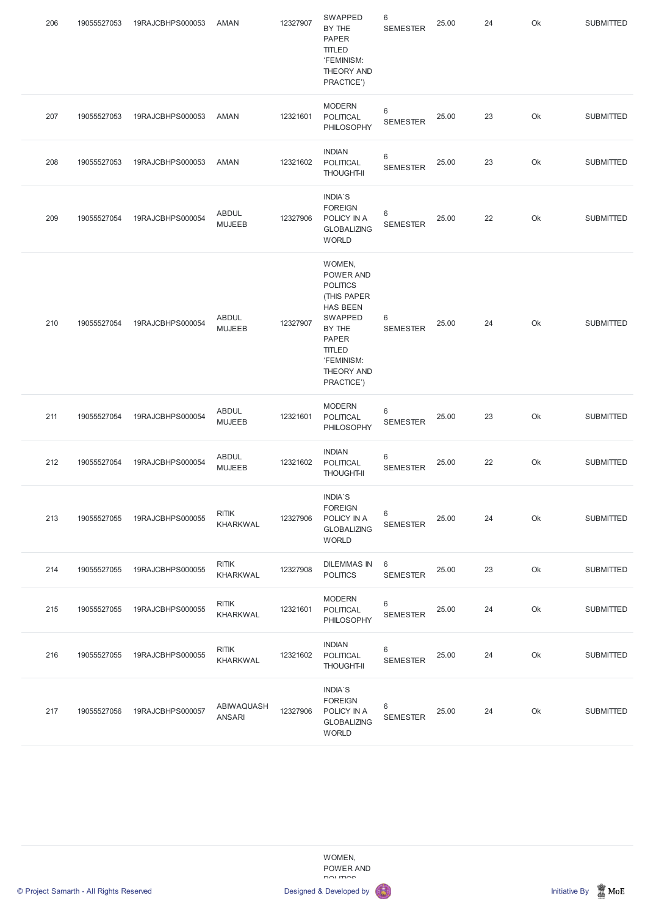| 206 | 19055527053 | 19RAJCBHPS000053 | AMAN                            | 12327907 | SWAPPED<br>BY THE<br><b>PAPER</b><br><b>TITLED</b><br>'FEMINISM:<br>THEORY AND<br>PRACTICE')                                                                                    | $\,6\,$<br><b>SEMESTER</b>        | 25.00 | 24 | Ok | <b>SUBMITTED</b> |
|-----|-------------|------------------|---------------------------------|----------|---------------------------------------------------------------------------------------------------------------------------------------------------------------------------------|-----------------------------------|-------|----|----|------------------|
| 207 | 19055527053 | 19RAJCBHPS000053 | AMAN                            | 12321601 | <b>MODERN</b><br><b>POLITICAL</b><br>PHILOSOPHY                                                                                                                                 | $6\phantom{1}$<br><b>SEMESTER</b> | 25.00 | 23 | Ok | <b>SUBMITTED</b> |
| 208 | 19055527053 | 19RAJCBHPS000053 | AMAN                            | 12321602 | <b>INDIAN</b><br>POLITICAL<br><b>THOUGHT-II</b>                                                                                                                                 | $\,6\,$<br><b>SEMESTER</b>        | 25.00 | 23 | Ok | <b>SUBMITTED</b> |
| 209 | 19055527054 | 19RAJCBHPS000054 | <b>ABDUL</b><br><b>MUJEEB</b>   | 12327906 | <b>INDIA'S</b><br><b>FOREIGN</b><br>POLICY IN A<br><b>GLOBALIZING</b><br><b>WORLD</b>                                                                                           | 6<br><b>SEMESTER</b>              | 25.00 | 22 | Ok | <b>SUBMITTED</b> |
| 210 | 19055527054 | 19RAJCBHPS000054 | <b>ABDUL</b><br><b>MUJEEB</b>   | 12327907 | WOMEN,<br><b>POWER AND</b><br><b>POLITICS</b><br>(THIS PAPER<br><b>HAS BEEN</b><br>SWAPPED<br>BY THE<br><b>PAPER</b><br><b>TITLED</b><br>'FEMINISM:<br>THEORY AND<br>PRACTICE') | 6<br><b>SEMESTER</b>              | 25.00 | 24 | Ok | <b>SUBMITTED</b> |
| 211 | 19055527054 | 19RAJCBHPS000054 | <b>ABDUL</b><br><b>MUJEEB</b>   | 12321601 | <b>MODERN</b><br>POLITICAL<br><b>PHILOSOPHY</b>                                                                                                                                 | 6<br><b>SEMESTER</b>              | 25.00 | 23 | Ok | <b>SUBMITTED</b> |
| 212 | 19055527054 | 19RAJCBHPS000054 | <b>ABDUL</b><br><b>MUJEEB</b>   | 12321602 | <b>INDIAN</b><br>POLITICAL<br><b>THOUGHT-II</b>                                                                                                                                 | $\,6\,$<br><b>SEMESTER</b>        | 25.00 | 22 | Ok | <b>SUBMITTED</b> |
| 213 | 19055527055 | 19RAJCBHPS000055 | <b>RITIK</b><br><b>KHARKWAL</b> | 12327906 | <b>INDIA'S</b><br><b>FOREIGN</b><br>POLICY IN A<br><b>GLOBALIZING</b><br><b>WORLD</b>                                                                                           | 6<br><b>SEMESTER</b>              | 25.00 | 24 | Ok | <b>SUBMITTED</b> |
| 214 | 19055527055 | 19RAJCBHPS000055 | <b>RITIK</b><br><b>KHARKWAL</b> | 12327908 | <b>DILEMMAS IN</b><br><b>POLITICS</b>                                                                                                                                           | $6\phantom{1}$<br><b>SEMESTER</b> | 25.00 | 23 | Ok | <b>SUBMITTED</b> |
| 215 | 19055527055 | 19RAJCBHPS000055 | <b>RITIK</b><br><b>KHARKWAL</b> | 12321601 | <b>MODERN</b><br>POLITICAL<br><b>PHILOSOPHY</b>                                                                                                                                 | $6\,$<br><b>SEMESTER</b>          | 25.00 | 24 | Ok | <b>SUBMITTED</b> |
| 216 | 19055527055 | 19RAJCBHPS000055 | <b>RITIK</b><br><b>KHARKWAL</b> | 12321602 | <b>INDIAN</b><br><b>POLITICAL</b><br><b>THOUGHT-II</b>                                                                                                                          | $6\,$<br><b>SEMESTER</b>          | 25.00 | 24 | Ok | <b>SUBMITTED</b> |







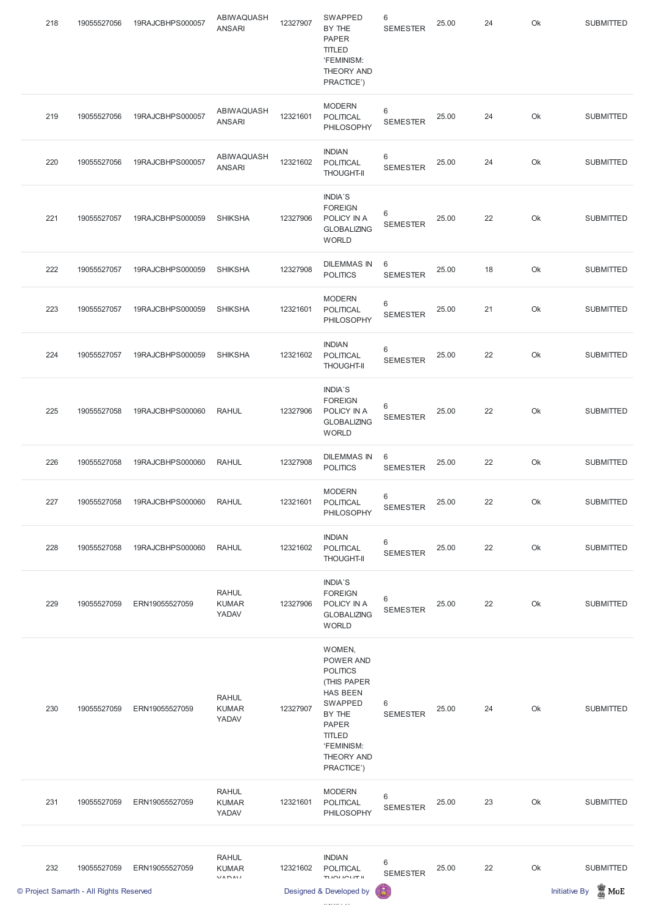|     | © Project Samarth - All Rights Reserved |                  |                                       |          | Designed & Developed by                                                                                                                                                  | 6                        |       |    |    | $\mathbb Z$ MoE<br><b>Initiative By</b> |
|-----|-----------------------------------------|------------------|---------------------------------------|----------|--------------------------------------------------------------------------------------------------------------------------------------------------------------------------|--------------------------|-------|----|----|-----------------------------------------|
| 232 | 19055527059                             | ERN19055527059   | <b>RAHUL</b><br><b>KUMAR</b><br>VADAV | 12321602 | <b>INDIAN</b><br>POLITICAL<br>TUOLIOUT II                                                                                                                                | 6<br><b>SEMESTER</b>     | 25.00 | 22 | Ok | <b>SUBMITTED</b>                        |
| 231 | 19055527059                             | ERN19055527059   | <b>RAHUL</b><br><b>KUMAR</b><br>YADAV | 12321601 | <b>MODERN</b><br><b>POLITICAL</b><br>PHILOSOPHY                                                                                                                          | $\,6$<br><b>SEMESTER</b> | 25.00 | 23 | Ok | <b>SUBMITTED</b>                        |
| 230 | 19055527059                             | ERN19055527059   | <b>RAHUL</b><br><b>KUMAR</b><br>YADAV | 12327907 | WOMEN,<br>POWER AND<br><b>POLITICS</b><br>(THIS PAPER<br><b>HAS BEEN</b><br>SWAPPED<br>BY THE<br><b>PAPER</b><br><b>TITLED</b><br>'FEMINISM:<br>THEORY AND<br>PRACTICE') | 6<br><b>SEMESTER</b>     | 25.00 | 24 | Ok | <b>SUBMITTED</b>                        |
| 229 | 19055527059                             | ERN19055527059   | <b>RAHUL</b><br><b>KUMAR</b><br>YADAV | 12327906 | INDIA'S<br><b>FOREIGN</b><br>POLICY IN A<br><b>GLOBALIZING</b><br><b>WORLD</b>                                                                                           | 6<br><b>SEMESTER</b>     | 25.00 | 22 | Ok | <b>SUBMITTED</b>                        |
| 228 | 19055527058                             | 19RAJCBHPS000060 | <b>RAHUL</b>                          | 12321602 | <b>INDIAN</b><br>POLITICAL<br><b>THOUGHT-II</b>                                                                                                                          | 6<br><b>SEMESTER</b>     | 25.00 | 22 | Ok | <b>SUBMITTED</b>                        |
| 227 | 19055527058                             | 19RAJCBHPS000060 | <b>RAHUL</b>                          | 12321601 | <b>MODERN</b><br><b>POLITICAL</b><br>PHILOSOPHY                                                                                                                          | 6<br><b>SEMESTER</b>     | 25.00 | 22 | Ok | <b>SUBMITTED</b>                        |
| 226 | 19055527058                             | 19RAJCBHPS000060 | <b>RAHUL</b>                          | 12327908 | <b>DILEMMAS IN</b><br><b>POLITICS</b>                                                                                                                                    | 6<br><b>SEMESTER</b>     | 25.00 | 22 | Ok | <b>SUBMITTED</b>                        |
| 225 | 19055527058                             | 19RAJCBHPS000060 | <b>RAHUL</b>                          | 12327906 | INDIA'S<br><b>FOREIGN</b><br>POLICY IN A<br><b>GLOBALIZING</b><br><b>WORLD</b>                                                                                           | 6<br><b>SEMESTER</b>     | 25.00 | 22 | Ok | <b>SUBMITTED</b>                        |
| 224 | 19055527057                             | 19RAJCBHPS000059 | <b>SHIKSHA</b>                        | 12321602 | <b>INDIAN</b><br>POLITICAL<br><b>THOUGHT-II</b>                                                                                                                          | 6<br><b>SEMESTER</b>     | 25.00 | 22 | Ok | <b>SUBMITTED</b>                        |
| 223 | 19055527057                             | 19RAJCBHPS000059 | <b>SHIKSHA</b>                        | 12321601 | <b>MODERN</b><br><b>POLITICAL</b><br>PHILOSOPHY                                                                                                                          | 6<br><b>SEMESTER</b>     | 25.00 | 21 | Ok | <b>SUBMITTED</b>                        |
| 222 | 19055527057                             | 19RAJCBHPS000059 | <b>SHIKSHA</b>                        | 12327908 | <b>DILEMMAS IN</b><br><b>POLITICS</b>                                                                                                                                    | 6<br><b>SEMESTER</b>     | 25.00 | 18 | Ok | <b>SUBMITTED</b>                        |
| 221 | 19055527057                             | 19RAJCBHPS000059 | <b>SHIKSHA</b>                        | 12327906 | INDIA'S<br><b>FOREIGN</b><br>POLICY IN A<br><b>GLOBALIZING</b><br><b>WORLD</b>                                                                                           | 6<br><b>SEMESTER</b>     | 25.00 | 22 | Ok | <b>SUBMITTED</b>                        |
| 220 | 19055527056                             | 19RAJCBHPS000057 | ABIWAQUASH<br><b>ANSARI</b>           | 12321602 | <b>INDIAN</b><br>POLITICAL<br><b>THOUGHT-II</b>                                                                                                                          | $\,6$<br><b>SEMESTER</b> | 25.00 | 24 | Ok | <b>SUBMITTED</b>                        |
| 219 | 19055527056                             | 19RAJCBHPS000057 | ABIWAQUASH<br><b>ANSARI</b>           | 12321601 | <b>MODERN</b><br><b>POLITICAL</b><br>PHILOSOPHY                                                                                                                          | 6<br><b>SEMESTER</b>     | 25.00 | 24 | Ok | <b>SUBMITTED</b>                        |
| 218 | 19055527056                             | 19RAJCBHPS000057 | ABIWAQUASH<br><b>ANSARI</b>           | 12327907 | SWAPPED<br>BY THE<br><b>PAPER</b><br><b>TITLED</b><br>'FEMINISM:<br>THEORY AND<br>PRACTICE')                                                                             | 6<br><b>SEMESTER</b>     | 25.00 | 24 | Ok | <b>SUBMITTED</b>                        |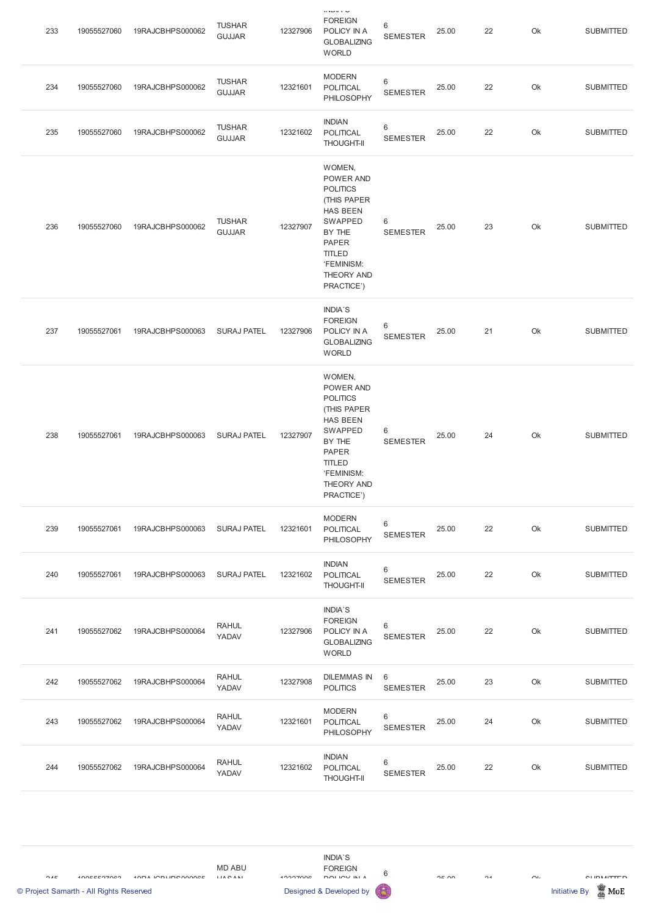| 233 | 19055527060 | 19RAJCBHPS000062 | <b>TUSHAR</b><br><b>GUJJAR</b> | 12327906 | $H$ and $H$ and $H$<br><b>FOREIGN</b><br>POLICY IN A<br><b>GLOBALIZING</b><br><b>WORLD</b>                                                                                      | 6<br><b>SEMESTER</b>       | 25.00 | 22 | Ok | <b>SUBMITTED</b> |
|-----|-------------|------------------|--------------------------------|----------|---------------------------------------------------------------------------------------------------------------------------------------------------------------------------------|----------------------------|-------|----|----|------------------|
| 234 | 19055527060 | 19RAJCBHPS000062 | <b>TUSHAR</b><br><b>GUJJAR</b> | 12321601 | <b>MODERN</b><br><b>POLITICAL</b><br>PHILOSOPHY                                                                                                                                 | $6\,$<br><b>SEMESTER</b>   | 25.00 | 22 | Ok | <b>SUBMITTED</b> |
| 235 | 19055527060 | 19RAJCBHPS000062 | <b>TUSHAR</b><br><b>GUJJAR</b> | 12321602 | <b>INDIAN</b><br>POLITICAL<br><b>THOUGHT-II</b>                                                                                                                                 | $6\,$<br><b>SEMESTER</b>   | 25.00 | 22 | Ok | <b>SUBMITTED</b> |
| 236 | 19055527060 | 19RAJCBHPS000062 | <b>TUSHAR</b><br><b>GUJJAR</b> | 12327907 | WOMEN,<br>POWER AND<br><b>POLITICS</b><br>(THIS PAPER<br><b>HAS BEEN</b><br>SWAPPED<br>BY THE<br><b>PAPER</b><br><b>TITLED</b><br>'FEMINISM:<br>THEORY AND<br>PRACTICE')        | 6<br><b>SEMESTER</b>       | 25.00 | 23 | Ok | <b>SUBMITTED</b> |
| 237 | 19055527061 | 19RAJCBHPS000063 | <b>SURAJ PATEL</b>             | 12327906 | <b>INDIA'S</b><br><b>FOREIGN</b><br>POLICY IN A<br><b>GLOBALIZING</b><br><b>WORLD</b>                                                                                           | 6<br><b>SEMESTER</b>       | 25.00 | 21 | Ok | <b>SUBMITTED</b> |
| 238 | 19055527061 | 19RAJCBHPS000063 | <b>SURAJ PATEL</b>             | 12327907 | WOMEN,<br>POWER AND<br><b>POLITICS</b><br>(THIS PAPER<br><b>HAS BEEN</b><br><b>SWAPPED</b><br>BY THE<br><b>PAPER</b><br><b>TITLED</b><br>'FEMINISM:<br>THEORY AND<br>PRACTICE') | $\,6\,$<br><b>SEMESTER</b> | 25.00 | 24 | Ok | <b>SUBMITTED</b> |
| 239 | 19055527061 | 19RAJCBHPS000063 | <b>SURAJ PATEL</b>             | 12321601 | <b>MODERN</b><br><b>POLITICAL</b><br>PHILOSOPHY                                                                                                                                 | $\,6\,$<br><b>SEMESTER</b> | 25.00 | 22 | Ok | <b>SUBMITTED</b> |
| 240 | 19055527061 | 19RAJCBHPS000063 | <b>SURAJ PATEL</b>             | 12321602 | <b>INDIAN</b><br>POLITICAL<br><b>THOUGHT-II</b>                                                                                                                                 | $\,6\,$<br><b>SEMESTER</b> | 25.00 | 22 | Ok | <b>SUBMITTED</b> |
| 241 | 19055527062 | 19RAJCBHPS000064 | <b>RAHUL</b><br>YADAV          | 12327906 | <b>INDIA'S</b><br><b>FOREIGN</b><br>POLICY IN A<br><b>GLOBALIZING</b><br><b>WORLD</b>                                                                                           | $\,6\,$<br><b>SEMESTER</b> | 25.00 | 22 | Ok | <b>SUBMITTED</b> |
| 242 | 19055527062 | 19RAJCBHPS000064 | <b>RAHUL</b><br>YADAV          | 12327908 | <b>DILEMMAS IN</b><br><b>POLITICS</b>                                                                                                                                           | $6\,$<br><b>SEMESTER</b>   | 25.00 | 23 | Ok | <b>SUBMITTED</b> |



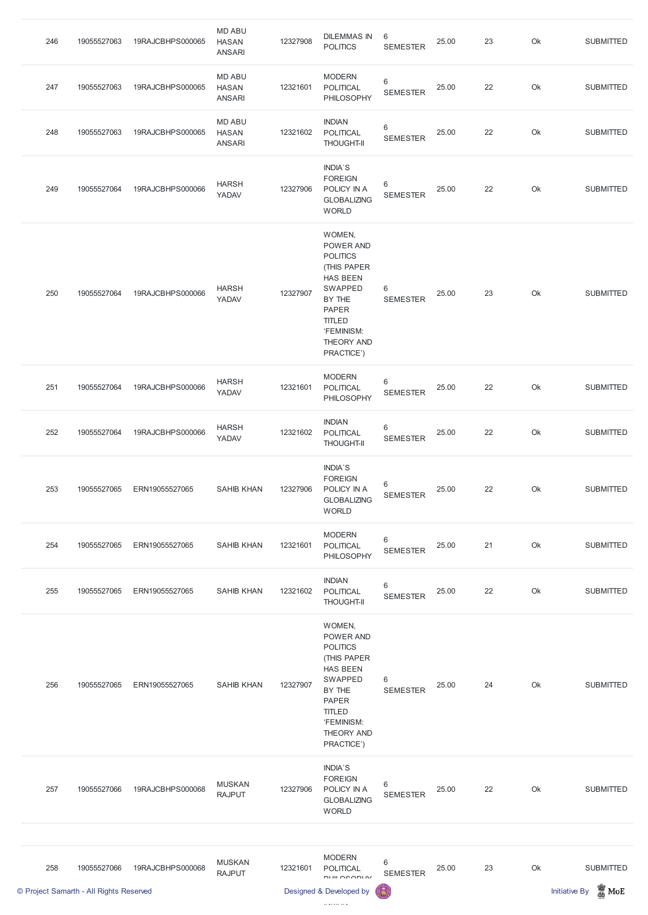| 246 | 19055527063 | 19RAJCBHPS000065 | <b>MD ABU</b><br><b>HASAN</b><br><b>ANSARI</b> | 12327908 | <b>DILEMMAS IN</b><br><b>POLITICS</b>                                                                                                                                           | 6<br><b>SEMESTER</b>     | 25.00 | 23 | Ok | <b>SUBMITTED</b> |
|-----|-------------|------------------|------------------------------------------------|----------|---------------------------------------------------------------------------------------------------------------------------------------------------------------------------------|--------------------------|-------|----|----|------------------|
| 247 | 19055527063 | 19RAJCBHPS000065 | <b>MD ABU</b><br><b>HASAN</b><br><b>ANSARI</b> | 12321601 | <b>MODERN</b><br><b>POLITICAL</b><br>PHILOSOPHY                                                                                                                                 | $\,6$<br><b>SEMESTER</b> | 25.00 | 22 | Ok | <b>SUBMITTED</b> |
| 248 | 19055527063 | 19RAJCBHPS000065 | <b>MD ABU</b><br><b>HASAN</b><br><b>ANSARI</b> | 12321602 | <b>INDIAN</b><br>POLITICAL<br><b>THOUGHT-II</b>                                                                                                                                 | $\,6$<br><b>SEMESTER</b> | 25.00 | 22 | Ok | <b>SUBMITTED</b> |
| 249 | 19055527064 | 19RAJCBHPS000066 | <b>HARSH</b><br>YADAV                          | 12327906 | <b>INDIA'S</b><br><b>FOREIGN</b><br>POLICY IN A<br><b>GLOBALIZING</b><br><b>WORLD</b>                                                                                           | 6<br><b>SEMESTER</b>     | 25.00 | 22 | Ok | <b>SUBMITTED</b> |
| 250 | 19055527064 | 19RAJCBHPS000066 | <b>HARSH</b><br>YADAV                          | 12327907 | WOMEN,<br>POWER AND<br><b>POLITICS</b><br>(THIS PAPER<br><b>HAS BEEN</b><br><b>SWAPPED</b><br>BY THE<br><b>PAPER</b><br><b>TITLED</b><br>'FEMINISM:<br>THEORY AND<br>PRACTICE') | 6<br><b>SEMESTER</b>     | 25.00 | 23 | Ok | <b>SUBMITTED</b> |
| 251 | 19055527064 | 19RAJCBHPS000066 | <b>HARSH</b><br>YADAV                          | 12321601 | <b>MODERN</b><br><b>POLITICAL</b><br>PHILOSOPHY                                                                                                                                 | $6\,$<br><b>SEMESTER</b> | 25.00 | 22 | Ok | <b>SUBMITTED</b> |
| 252 | 19055527064 | 19RAJCBHPS000066 | <b>HARSH</b><br>YADAV                          | 12321602 | <b>INDIAN</b><br><b>POLITICAL</b><br><b>THOUGHT-II</b>                                                                                                                          | $6\,$<br><b>SEMESTER</b> | 25.00 | 22 | Ok | <b>SUBMITTED</b> |
| 253 | 19055527065 | ERN19055527065   | <b>SAHIB KHAN</b>                              | 12327906 | <b>INDIA'S</b><br><b>FOREIGN</b><br>POLICY IN A<br><b>GLOBALIZING</b><br><b>WORLD</b>                                                                                           | 6<br><b>SEMESTER</b>     | 25.00 | 22 | Ok | <b>SUBMITTED</b> |
| 254 | 19055527065 | ERN19055527065   | <b>SAHIB KHAN</b>                              | 12321601 | <b>MODERN</b><br><b>POLITICAL</b><br>PHILOSOPHY                                                                                                                                 | 6<br><b>SEMESTER</b>     | 25.00 | 21 | Ok | <b>SUBMITTED</b> |
| 255 | 19055527065 | ERN19055527065   | <b>SAHIB KHAN</b>                              | 12321602 | <b>INDIAN</b><br><b>POLITICAL</b><br><b>THOUGHT-II</b>                                                                                                                          | 6<br><b>SEMESTER</b>     | 25.00 | 22 | Ok | <b>SUBMITTED</b> |
| 256 | 19055527065 | ERN19055527065   | <b>SAHIB KHAN</b>                              | 12327907 | WOMEN,<br>POWER AND<br><b>POLITICS</b><br>(THIS PAPER<br><b>HAS BEEN</b><br>SWAPPED<br>T1.1T                                                                                    | 6                        | 25.00 | 24 | Ok | <b>SUBMITTED</b> |

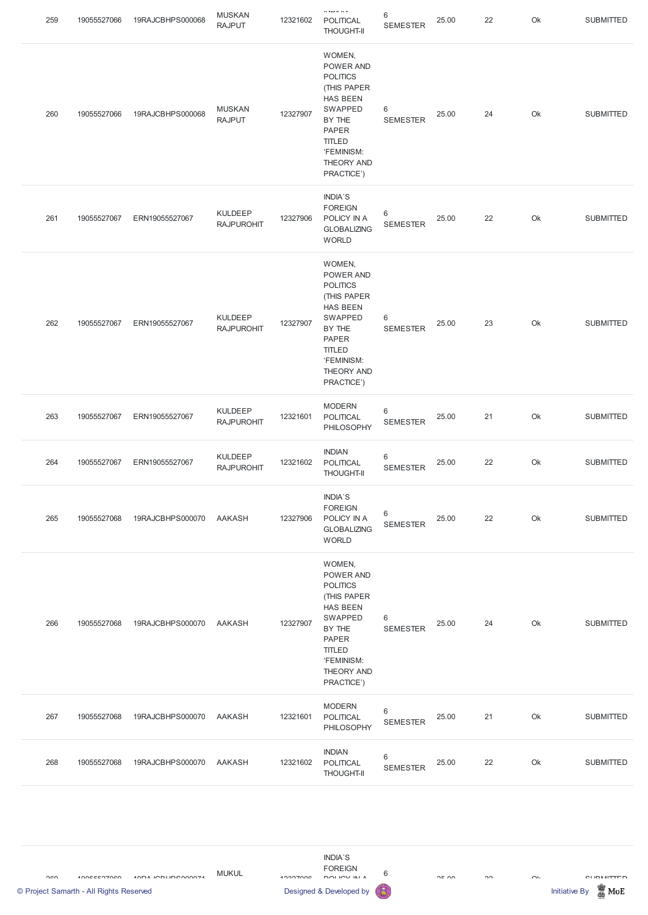| 259 | 19055527066 | 19RAJCBHPS000068 | <b>MUSKAN</b><br><b>RAJPUT</b>      | 12321602 | $H = H \cup H$ and $H$<br><b>POLITICAL</b><br><b>THOUGHT-II</b>                                                                                                          | 6<br><b>SEMESTER</b>     | 25.00 | 22 | Ok | <b>SUBMITTED</b> |
|-----|-------------|------------------|-------------------------------------|----------|--------------------------------------------------------------------------------------------------------------------------------------------------------------------------|--------------------------|-------|----|----|------------------|
| 260 | 19055527066 | 19RAJCBHPS000068 | <b>MUSKAN</b><br><b>RAJPUT</b>      | 12327907 | WOMEN,<br>POWER AND<br><b>POLITICS</b><br>(THIS PAPER<br><b>HAS BEEN</b><br>SWAPPED<br>BY THE<br><b>PAPER</b><br><b>TITLED</b><br>'FEMINISM:<br>THEORY AND<br>PRACTICE') | 6<br><b>SEMESTER</b>     | 25.00 | 24 | Ok | <b>SUBMITTED</b> |
| 261 | 19055527067 | ERN19055527067   | <b>KULDEEP</b><br><b>RAJPUROHIT</b> | 12327906 | INDIA'S<br><b>FOREIGN</b><br>POLICY IN A<br><b>GLOBALIZING</b><br><b>WORLD</b>                                                                                           | 6<br><b>SEMESTER</b>     | 25.00 | 22 | Ok | <b>SUBMITTED</b> |
| 262 | 19055527067 | ERN19055527067   | <b>KULDEEP</b><br><b>RAJPUROHIT</b> | 12327907 | WOMEN,<br>POWER AND<br><b>POLITICS</b><br>(THIS PAPER<br><b>HAS BEEN</b><br>SWAPPED<br>BY THE<br><b>PAPER</b><br><b>TITLED</b><br>'FEMINISM:<br>THEORY AND<br>PRACTICE') | 6<br><b>SEMESTER</b>     | 25.00 | 23 | Ok | <b>SUBMITTED</b> |
| 263 | 19055527067 | ERN19055527067   | <b>KULDEEP</b><br><b>RAJPUROHIT</b> | 12321601 | <b>MODERN</b><br>POLITICAL<br>PHILOSOPHY                                                                                                                                 | $6\,$<br><b>SEMESTER</b> | 25.00 | 21 | Ok | <b>SUBMITTED</b> |
| 264 | 19055527067 | ERN19055527067   | <b>KULDEEP</b><br><b>RAJPUROHIT</b> | 12321602 | <b>INDIAN</b><br>POLITICAL<br><b>THOUGHT-II</b>                                                                                                                          | 6<br><b>SEMESTER</b>     | 25.00 | 22 | Ok | <b>SUBMITTED</b> |
| 265 | 19055527068 | 19RAJCBHPS000070 | <b>AAKASH</b>                       | 12327906 | <b>INDIA'S</b><br><b>FOREIGN</b><br>POLICY IN A<br><b>GLOBALIZING</b><br><b>WORLD</b>                                                                                    | 6<br><b>SEMESTER</b>     | 25.00 | 22 | Ok | <b>SUBMITTED</b> |
| 266 | 19055527068 | 19RAJCBHPS000070 | <b>AAKASH</b>                       | 12327907 | WOMEN,<br>POWER AND<br><b>POLITICS</b><br>(THIS PAPER<br><b>HAS BEEN</b><br>SWAPPED<br>BY THE<br><b>PAPER</b><br><b>TITLED</b><br>'FEMINISM:<br>THEORY AND<br>PRACTICE') | 6<br><b>SEMESTER</b>     | 25.00 | 24 | Ok | <b>SUBMITTED</b> |



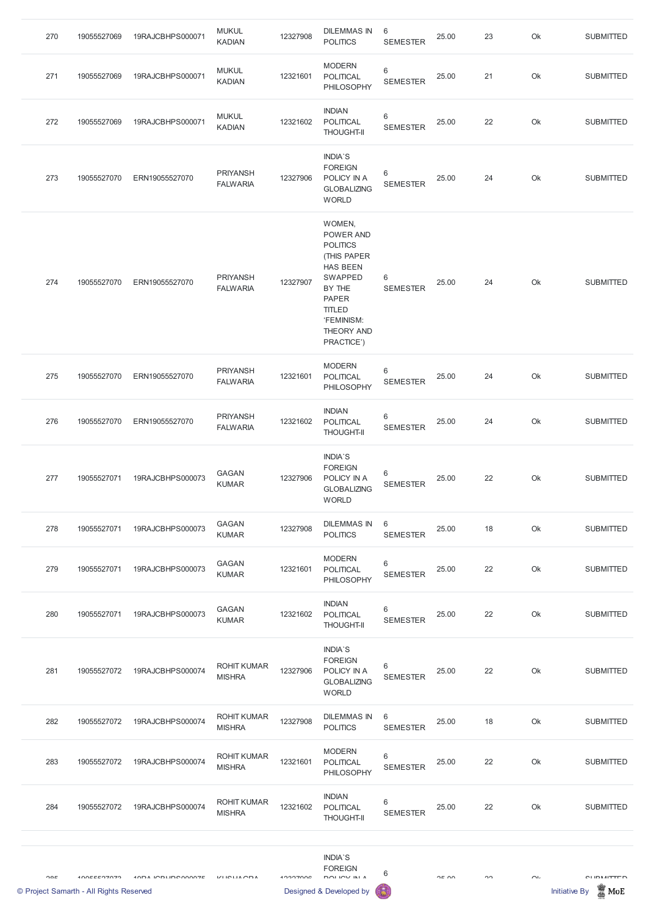| 270 | 19055527069 | 19RAJCBHPS000071 | <b>MUKUL</b><br><b>KADIAN</b>      | 12327908 | <b>DILEMMAS IN</b><br><b>POLITICS</b>                                                                                                                                           | 6<br><b>SEMESTER</b>       | 25.00 | 23 | Ok | <b>SUBMITTED</b> |
|-----|-------------|------------------|------------------------------------|----------|---------------------------------------------------------------------------------------------------------------------------------------------------------------------------------|----------------------------|-------|----|----|------------------|
| 271 | 19055527069 | 19RAJCBHPS000071 | <b>MUKUL</b><br><b>KADIAN</b>      | 12321601 | <b>MODERN</b><br><b>POLITICAL</b><br>PHILOSOPHY                                                                                                                                 | $\,6\,$<br><b>SEMESTER</b> | 25.00 | 21 | Ok | <b>SUBMITTED</b> |
| 272 | 19055527069 | 19RAJCBHPS000071 | <b>MUKUL</b><br><b>KADIAN</b>      | 12321602 | <b>INDIAN</b><br>POLITICAL<br><b>THOUGHT-II</b>                                                                                                                                 | $\,6\,$<br><b>SEMESTER</b> | 25.00 | 22 | Ok | <b>SUBMITTED</b> |
| 273 | 19055527070 | ERN19055527070   | <b>PRIYANSH</b><br><b>FALWARIA</b> | 12327906 | INDIA'S<br><b>FOREIGN</b><br>POLICY IN A<br><b>GLOBALIZING</b><br><b>WORLD</b>                                                                                                  | $6\,$<br><b>SEMESTER</b>   | 25.00 | 24 | Ok | <b>SUBMITTED</b> |
| 274 | 19055527070 | ERN19055527070   | <b>PRIYANSH</b><br><b>FALWARIA</b> | 12327907 | WOMEN,<br>POWER AND<br><b>POLITICS</b><br>(THIS PAPER<br><b>HAS BEEN</b><br><b>SWAPPED</b><br>BY THE<br><b>PAPER</b><br><b>TITLED</b><br>'FEMINISM:<br>THEORY AND<br>PRACTICE') | 6<br><b>SEMESTER</b>       | 25.00 | 24 | Ok | <b>SUBMITTED</b> |
| 275 | 19055527070 | ERN19055527070   | <b>PRIYANSH</b><br><b>FALWARIA</b> | 12321601 | <b>MODERN</b><br><b>POLITICAL</b><br>PHILOSOPHY                                                                                                                                 | $\,6\,$<br><b>SEMESTER</b> | 25.00 | 24 | Ok | <b>SUBMITTED</b> |
| 276 | 19055527070 | ERN19055527070   | <b>PRIYANSH</b><br><b>FALWARIA</b> | 12321602 | <b>INDIAN</b><br>POLITICAL<br><b>THOUGHT-II</b>                                                                                                                                 | $\,6\,$<br><b>SEMESTER</b> | 25.00 | 24 | Ok | <b>SUBMITTED</b> |
| 277 | 19055527071 | 19RAJCBHPS000073 | <b>GAGAN</b><br><b>KUMAR</b>       | 12327906 | INDIA'S<br><b>FOREIGN</b><br>POLICY IN A<br><b>GLOBALIZING</b><br><b>WORLD</b>                                                                                                  | $\,6\,$<br><b>SEMESTER</b> | 25.00 | 22 | Ok | <b>SUBMITTED</b> |
| 278 | 19055527071 | 19RAJCBHPS000073 | <b>GAGAN</b><br><b>KUMAR</b>       | 12327908 | <b>DILEMMAS IN</b><br><b>POLITICS</b>                                                                                                                                           | $6\,$<br><b>SEMESTER</b>   | 25.00 | 18 | Ok | <b>SUBMITTED</b> |
| 279 | 19055527071 | 19RAJCBHPS000073 | <b>GAGAN</b><br><b>KUMAR</b>       | 12321601 | <b>MODERN</b><br><b>POLITICAL</b><br>PHILOSOPHY                                                                                                                                 | $\,6\,$<br><b>SEMESTER</b> | 25.00 | 22 | Ok | <b>SUBMITTED</b> |
|     |             |                  | <b>GAGAN</b>                       |          | <b>INDIAN</b>                                                                                                                                                                   | $\,6\,$                    |       |    |    |                  |
| 280 | 19055527071 | 19RAJCBHPS000073 | <b>KUMAR</b>                       | 12321602 | POLITICAL<br><b>THOUGHT-II</b>                                                                                                                                                  | <b>SEMESTER</b>            | 25.00 | 22 | Ok | <b>SUBMITTED</b> |

## WORLD

| © Project Samarth - All Rights Reserved |     |               |                   |                                     |          | Designed & Developed by                                | G                        |       |    |           | <b>Initiative By</b><br>MoE |
|-----------------------------------------|-----|---------------|-------------------|-------------------------------------|----------|--------------------------------------------------------|--------------------------|-------|----|-----------|-----------------------------|
|                                         | OOC | $10055527072$ | 10DA IODUDC00007E | $V$ LICLIA CDA                      | 12227006 | <b>INDIA'S</b><br><b>FOREIGN</b><br>DOLIOVINI A        | 6                        | 2500  | ററ | $\bigcap$ | <b>CLIDMITTED</b>           |
|                                         |     |               |                   |                                     |          |                                                        |                          |       |    |           |                             |
|                                         | 284 | 19055527072   | 19RAJCBHPS000074  | <b>ROHIT KUMAR</b><br><b>MISHRA</b> | 12321602 | <b>INDIAN</b><br><b>POLITICAL</b><br><b>THOUGHT-II</b> | $6\,$<br><b>SEMESTER</b> | 25.00 | 22 | Ok        | <b>SUBMITTED</b>            |
|                                         | 283 | 19055527072   | 19RAJCBHPS000074  | <b>ROHIT KUMAR</b><br><b>MISHRA</b> | 12321601 | <b>MODERN</b><br><b>POLITICAL</b><br>PHILOSOPHY        | 6<br><b>SEMESTER</b>     | 25.00 | 22 | Ok        | <b>SUBMITTED</b>            |
|                                         | 282 | 19055527072   | 19RAJCBHPS000074  | <b>ROHIT KUMAR</b><br><b>MISHRA</b> | 12327908 | DILEMMAS IN<br><b>POLITICS</b>                         | 6<br><b>SEMESTER</b>     | 25.00 | 18 | Ok        | <b>SUBMITTED</b>            |